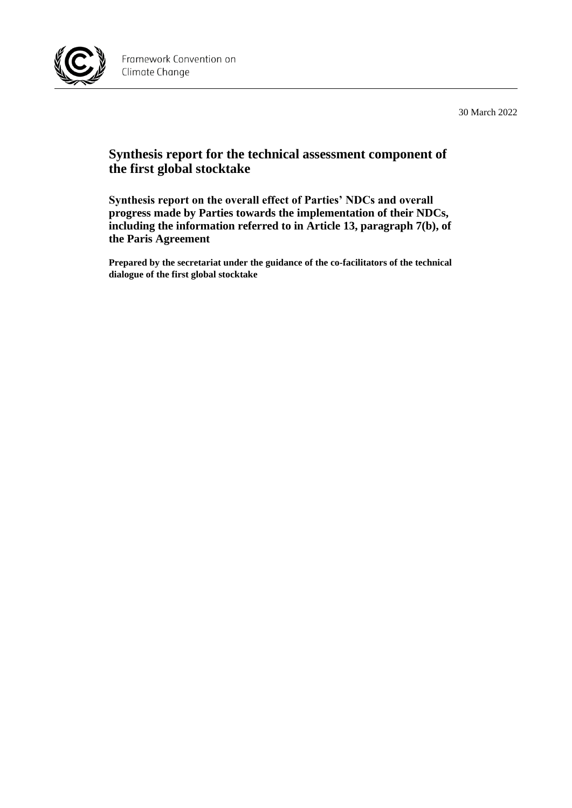

30 March 2022

## **Synthesis report for the technical assessment component of the first global stocktake**

**Synthesis report on the overall effect of Parties' NDCs and overall progress made by Parties towards the implementation of their NDCs, including the information referred to in Article 13, paragraph 7(b), of the Paris Agreement**

**Prepared by the secretariat under the guidance of the co-facilitators of the technical dialogue of the first global stocktake**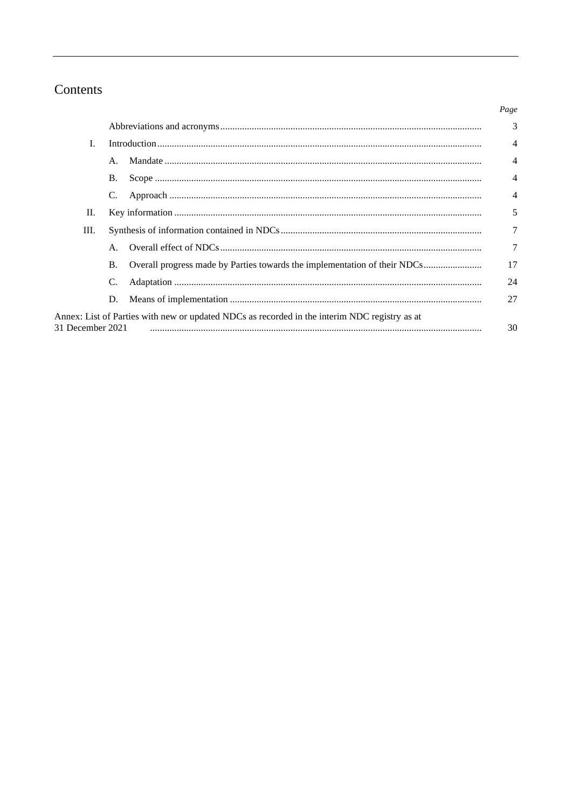## Contents

|                  |                |                                                                                               | Page                     |
|------------------|----------------|-----------------------------------------------------------------------------------------------|--------------------------|
|                  |                |                                                                                               | 3                        |
| L                |                |                                                                                               | $\overline{\mathcal{A}}$ |
|                  | $\mathsf{A}$ . |                                                                                               | 4                        |
|                  | <b>B.</b>      |                                                                                               | 4                        |
|                  | C.             |                                                                                               | 4                        |
| П.               |                |                                                                                               | 5                        |
| Ш.               |                |                                                                                               | $\tau$                   |
|                  | $\mathsf{A}$ . |                                                                                               | 7                        |
|                  | <b>B.</b>      | Overall progress made by Parties towards the implementation of their NDCs                     | 17                       |
|                  | C.             |                                                                                               | 24                       |
|                  | D.             |                                                                                               | 27                       |
| 31 December 2021 |                | Annex: List of Parties with new or updated NDCs as recorded in the interim NDC registry as at | 30                       |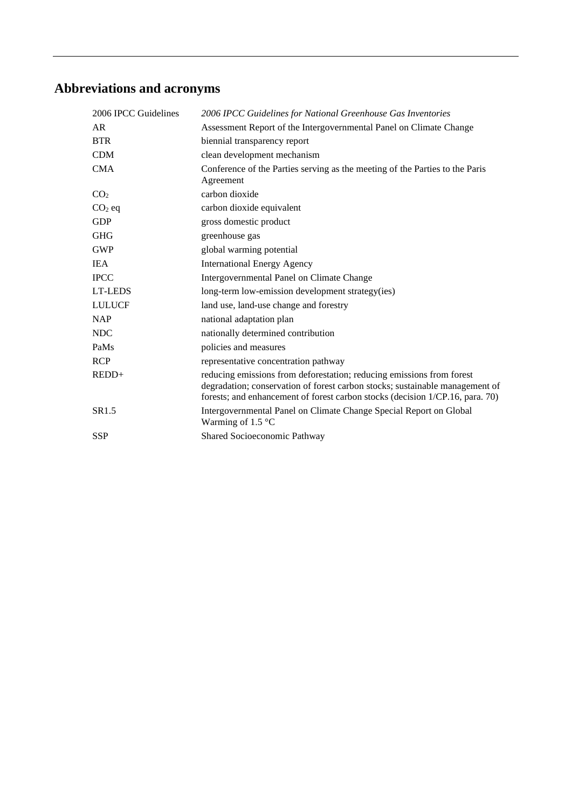# **Abbreviations and acronyms**

| 2006 IPCC Guidelines | 2006 IPCC Guidelines for National Greenhouse Gas Inventories                                                                                                                                                                           |
|----------------------|----------------------------------------------------------------------------------------------------------------------------------------------------------------------------------------------------------------------------------------|
| AR                   | Assessment Report of the Intergovernmental Panel on Climate Change                                                                                                                                                                     |
| <b>BTR</b>           | biennial transparency report                                                                                                                                                                                                           |
| <b>CDM</b>           | clean development mechanism                                                                                                                                                                                                            |
| <b>CMA</b>           | Conference of the Parties serving as the meeting of the Parties to the Paris<br>Agreement                                                                                                                                              |
| CO <sub>2</sub>      | carbon dioxide                                                                                                                                                                                                                         |
| $CO2$ eq             | carbon dioxide equivalent                                                                                                                                                                                                              |
| <b>GDP</b>           | gross domestic product                                                                                                                                                                                                                 |
| <b>GHG</b>           | greenhouse gas                                                                                                                                                                                                                         |
| <b>GWP</b>           | global warming potential                                                                                                                                                                                                               |
| <b>IEA</b>           | <b>International Energy Agency</b>                                                                                                                                                                                                     |
| <b>IPCC</b>          | Intergovernmental Panel on Climate Change                                                                                                                                                                                              |
| LT-LEDS              | long-term low-emission development strategy(ies)                                                                                                                                                                                       |
| <b>LULUCF</b>        | land use, land-use change and forestry                                                                                                                                                                                                 |
| <b>NAP</b>           | national adaptation plan                                                                                                                                                                                                               |
| <b>NDC</b>           | nationally determined contribution                                                                                                                                                                                                     |
| PaMs                 | policies and measures                                                                                                                                                                                                                  |
| <b>RCP</b>           | representative concentration pathway                                                                                                                                                                                                   |
| REDD+                | reducing emissions from deforestation; reducing emissions from forest<br>degradation; conservation of forest carbon stocks; sustainable management of<br>forests; and enhancement of forest carbon stocks (decision 1/CP.16, para. 70) |
| SR1.5                | Intergovernmental Panel on Climate Change Special Report on Global<br>Warming of 1.5 $^{\circ}$ C                                                                                                                                      |
| <b>SSP</b>           | Shared Socioeconomic Pathway                                                                                                                                                                                                           |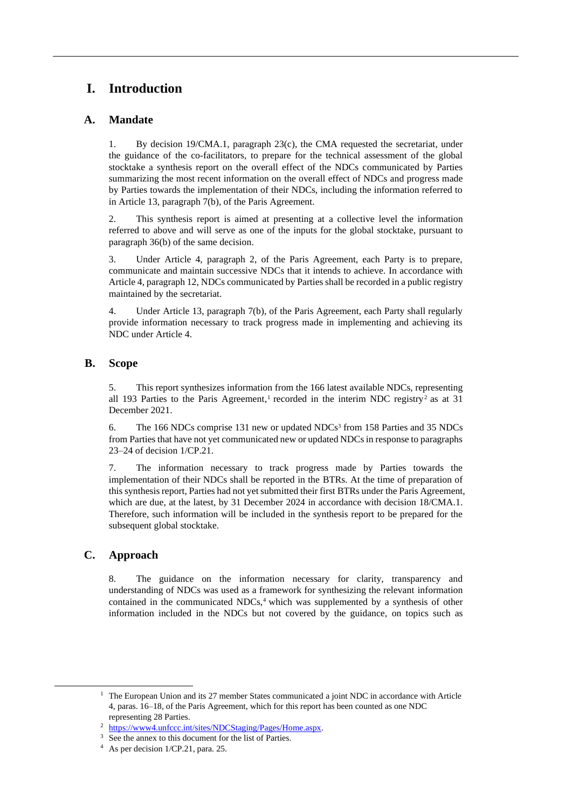## **I. Introduction**

## **A. Mandate**

1. By decision 19/CMA.1, paragraph 23(c), the CMA requested the secretariat, under the guidance of the co-facilitators, to prepare for the technical assessment of the global stocktake a synthesis report on the overall effect of the NDCs communicated by Parties summarizing the most recent information on the overall effect of NDCs and progress made by Parties towards the implementation of their NDCs, including the information referred to in Article 13, paragraph 7(b), of the Paris Agreement.

2. This synthesis report is aimed at presenting at a collective level the information referred to above and will serve as one of the inputs for the global stocktake, pursuant to paragraph 36(b) of the same decision.

3. Under Article 4, paragraph 2, of the Paris Agreement, each Party is to prepare, communicate and maintain successive NDCs that it intends to achieve. In accordance with Article 4, paragraph 12, NDCs communicated by Parties shall be recorded in a public registry maintained by the secretariat.

4. Under Article 13, paragraph 7(b), of the Paris Agreement, each Party shall regularly provide information necessary to track progress made in implementing and achieving its NDC under Article 4.

## **B. Scope**

5. This report synthesizes information from the 166 latest available NDCs, representing all 193 Parties to the Paris Agreement,<sup>1</sup> recorded in the interim NDC registry<sup>2</sup> as at 31 December 2021.

6. The 166 NDCs comprise 131 new or updated NDCs<sup>3</sup> from 158 Parties and 35 NDCs from Parties that have not yet communicated new or updated NDCs in response to paragraphs 23–24 of decision 1/CP.21.

7. The information necessary to track progress made by Parties towards the implementation of their NDCs shall be reported in the BTRs. At the time of preparation of this synthesis report, Parties had not yet submitted their first BTRs under the Paris Agreement, which are due, at the latest, by 31 December 2024 in accordance with decision 18/CMA.1. Therefore, such information will be included in the synthesis report to be prepared for the subsequent global stocktake.

## **C. Approach**

8. The guidance on the information necessary for clarity, transparency and understanding of NDCs was used as a framework for synthesizing the relevant information contained in the communicated  $NDCs<sub>1</sub><sup>4</sup>$  which was supplemented by a synthesis of other information included in the NDCs but not covered by the guidance, on topics such as

 $1$  The European Union and its 27 member States communicated a joint NDC in accordance with Article 4, paras. 16–18, of the Paris Agreement, which for this report has been counted as one NDC representing 28 Parties.

<sup>&</sup>lt;sup>2</sup> https://www4.unfccc.<u>int/sites/NDCStaging/Pages/Home.aspx</u>.

See the annex to this document for the list of Parties.

<sup>4</sup> As per decision 1/CP.21, para. 25.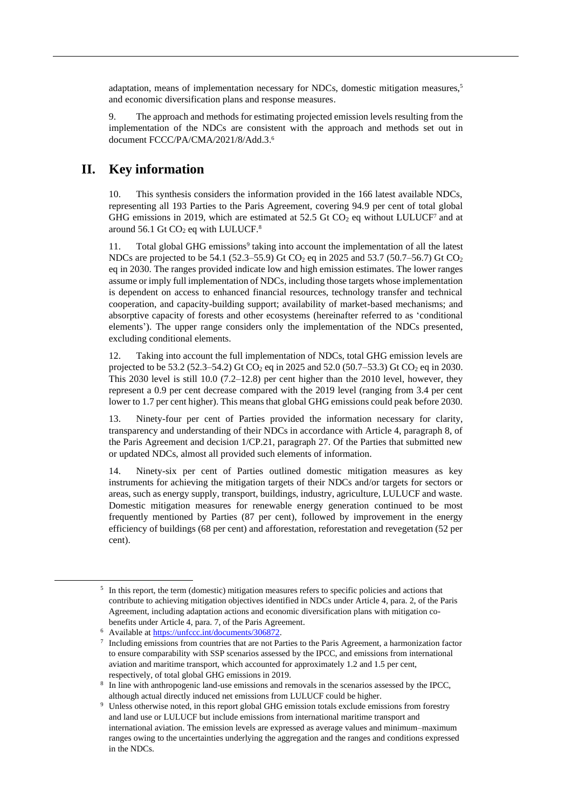adaptation, means of implementation necessary for NDCs, domestic mitigation measures,<sup>5</sup> and economic diversification plans and response measures.

9. The approach and methods for estimating projected emission levels resulting from the implementation of the NDCs are consistent with the approach and methods set out in document FCCC/PA/CMA/2021/8/Add.3. 6

## **II. Key information**

10. This synthesis considers the information provided in the 166 latest available NDCs, representing all 193 Parties to the Paris Agreement, covering 94.9 per cent of total global GHG emissions in 2019, which are estimated at 52.5 Gt  $CO<sub>2</sub>$  eq without LULUCF<sup>7</sup> and at around  $56.1$  Gt CO<sub>2</sub> eq with LULUCF.<sup>8</sup>

11. Total global GHG emissions<sup>9</sup> taking into account the implementation of all the latest NDCs are projected to be 54.1 (52.3–55.9) Gt CO<sub>2</sub> eq in 2025 and 53.7 (50.7–56.7) Gt CO<sub>2</sub> eq in 2030. The ranges provided indicate low and high emission estimates. The lower ranges assume or imply full implementation of NDCs, including those targets whose implementation is dependent on access to enhanced financial resources, technology transfer and technical cooperation, and capacity-building support; availability of market-based mechanisms; and absorptive capacity of forests and other ecosystems (hereinafter referred to as 'conditional elements'). The upper range considers only the implementation of the NDCs presented, excluding conditional elements.

12. Taking into account the full implementation of NDCs, total GHG emission levels are projected to be 53.2 (52.3–54.2) Gt CO<sub>2</sub> eq in 2025 and 52.0 (50.7–53.3) Gt CO<sub>2</sub> eq in 2030. This 2030 level is still 10.0  $(7.2-12.8)$  per cent higher than the 2010 level, however, they represent a 0.9 per cent decrease compared with the 2019 level (ranging from 3.4 per cent lower to 1.7 per cent higher). This means that global GHG emissions could peak before 2030.

13. Ninety-four per cent of Parties provided the information necessary for clarity, transparency and understanding of their NDCs in accordance with Article 4, paragraph 8, of the Paris Agreement and decision 1/CP.21, paragraph 27. Of the Parties that submitted new or updated NDCs, almost all provided such elements of information.

14. Ninety-six per cent of Parties outlined domestic mitigation measures as key instruments for achieving the mitigation targets of their NDCs and/or targets for sectors or areas, such as energy supply, transport, buildings, industry, agriculture, LULUCF and waste. Domestic mitigation measures for renewable energy generation continued to be most frequently mentioned by Parties (87 per cent), followed by improvement in the energy efficiency of buildings (68 per cent) and afforestation, reforestation and revegetation (52 per cent).

<sup>&</sup>lt;sup>5</sup> In this report, the term (domestic) mitigation measures refers to specific policies and actions that contribute to achieving mitigation objectives identified in NDCs under Article 4, para. 2, of the Paris Agreement, including adaptation actions and economic diversification plans with mitigation cobenefits under Article 4, para. 7, of the Paris Agreement.

<sup>6</sup> Available a[t https://unfccc.int/documents/306872.](https://unfccc.int/documents/306872)

<sup>7</sup> Including emissions from countries that are not Parties to the Paris Agreement, a harmonization factor to ensure comparability with SSP scenarios assessed by the IPCC, and emissions from international aviation and maritime transport, which accounted for approximately 1.2 and 1.5 per cent, respectively, of total global GHG emissions in 2019.

<sup>8</sup> In line with anthropogenic land-use emissions and removals in the scenarios assessed by the IPCC, although actual directly induced net emissions from LULUCF could be higher.

<sup>&</sup>lt;sup>9</sup> Unless otherwise noted, in this report global GHG emission totals exclude emissions from forestry and land use or LULUCF but include emissions from international maritime transport and international aviation. The emission levels are expressed as average values and minimum–maximum ranges owing to the uncertainties underlying the aggregation and the ranges and conditions expressed in the NDCs.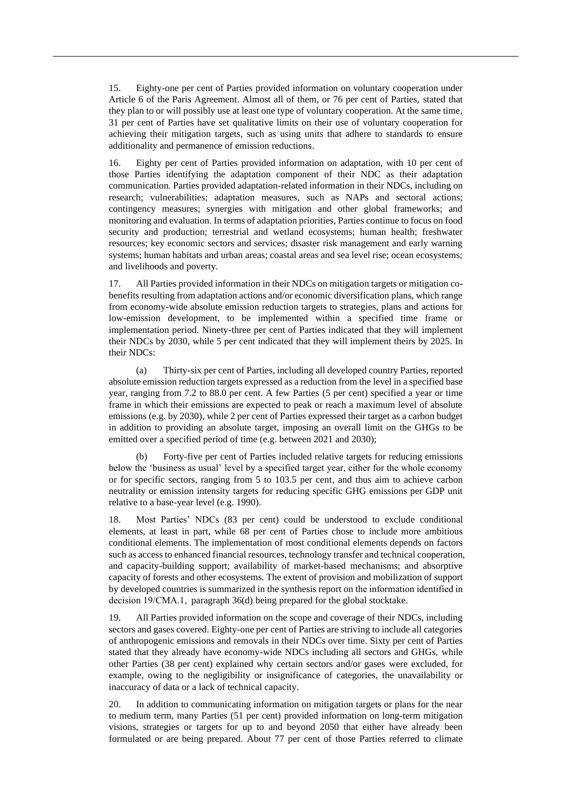15. Eighty-one per cent of Parties provided information on voluntary cooperation under Article 6 of the Paris Agreement. Almost all of them, or 76 per cent of Parties, stated that they plan to or will possibly use at least one type of voluntary cooperation. At the same time, 31 per cent of Parties have set qualitative limits on their use of voluntary cooperation for achieving their mitigation targets, such as using units that adhere to standards to ensure additionality and permanence of emission reductions.

16. Eighty per cent of Parties provided information on adaptation, with 10 per cent of those Parties identifying the adaptation component of their NDC as their adaptation communication. Parties provided adaptation-related information in their NDCs, including on research; vulnerabilities; adaptation measures, such as NAPs and sectoral actions; contingency measures; synergies with mitigation and other global frameworks; and monitoring and evaluation. In terms of adaptation priorities, Parties continue to focus on food security and production; terrestrial and wetland ecosystems; human health; freshwater resources; key economic sectors and services; disaster risk management and early warning systems; human habitats and urban areas; coastal areas and sea level rise; ocean ecosystems; and livelihoods and poverty.

17. All Parties provided information in their NDCs on mitigation targets or mitigation cobenefits resulting from adaptation actions and/or economic diversification plans, which range from economy-wide absolute emission reduction targets to strategies, plans and actions for low-emission development, to be implemented within a specified time frame or implementation period. Ninety-three per cent of Parties indicated that they will implement their NDCs by 2030, while 5 per cent indicated that they will implement theirs by 2025. In their NDCs:

(a) Thirty-six per cent of Parties, including all developed country Parties, reported absolute emission reduction targets expressed as a reduction from the level in a specified base year, ranging from 7.2 to 88.0 per cent. A few Parties (5 per cent) specified a year or time frame in which their emissions are expected to peak or reach a maximum level of absolute emissions (e.g. by 2030), while 2 per cent of Parties expressed their target as a carbon budget in addition to providing an absolute target, imposing an overall limit on the GHGs to be emitted over a specified period of time (e.g. between 2021 and 2030);

(b) Forty-five per cent of Parties included relative targets for reducing emissions below the 'business as usual' level by a specified target year, either for the whole economy or for specific sectors, ranging from 5 to 103.5 per cent, and thus aim to achieve carbon neutrality or emission intensity targets for reducing specific GHG emissions per GDP unit relative to a base-year level (e.g. 1990).

18. Most Parties' NDCs (83 per cent) could be understood to exclude conditional elements, at least in part, while 68 per cent of Parties chose to include more ambitious conditional elements. The implementation of most conditional elements depends on factors such as access to enhanced financial resources, technology transfer and technical cooperation, and capacity-building support; availability of market-based mechanisms; and absorptive capacity of forests and other ecosystems. The extent of provision and mobilization of support by developed countries is summarized in the synthesis report on the information identified in decision 19/CMA.1,  paragraph 36(d) being prepared for the global stocktake.

19. All Parties provided information on the scope and coverage of their NDCs, including sectors and gases covered. Eighty-one per cent of Parties are striving to include all categories of anthropogenic emissions and removals in their NDCs over time. Sixty per cent of Parties stated that they already have economy-wide NDCs including all sectors and GHGs, while other Parties (38 per cent) explained why certain sectors and/or gases were excluded, for example, owing to the negligibility or insignificance of categories, the unavailability or inaccuracy of data or a lack of technical capacity.

20. In addition to communicating information on mitigation targets or plans for the near to medium term, many Parties (51 per cent) provided information on long-term mitigation visions, strategies or targets for up to and beyond 2050 that either have already been formulated or are being prepared. About 77 per cent of those Parties referred to climate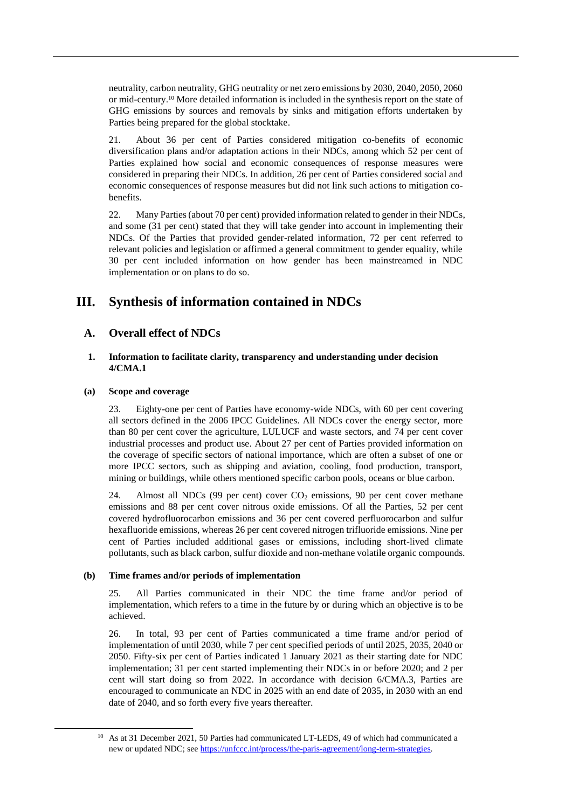neutrality, carbon neutrality, GHG neutrality or net zero emissions by 2030, 2040, 2050, 2060 or mid-century.<sup>10</sup> More detailed information is included in the synthesis report on the state of GHG emissions by sources and removals by sinks and mitigation efforts undertaken by Parties being prepared for the global stocktake.

21. About 36 per cent of Parties considered mitigation co-benefits of economic diversification plans and/or adaptation actions in their NDCs, among which 52 per cent of Parties explained how social and economic consequences of response measures were considered in preparing their NDCs. In addition, 26 per cent of Parties considered social and economic consequences of response measures but did not link such actions to mitigation cobenefits.

22. Many Parties (about 70 per cent) provided information related to gender in their NDCs, and some (31 per cent) stated that they will take gender into account in implementing their NDCs. Of the Parties that provided gender-related information, 72 per cent referred to relevant policies and legislation or affirmed a general commitment to gender equality, while 30 per cent included information on how gender has been mainstreamed in NDC implementation or on plans to do so.

## **III. Synthesis of information contained in NDCs**

## **A. Overall effect of NDCs**

## **1. Information to facilitate clarity, transparency and understanding under decision 4/CMA.1**

### **(a) Scope and coverage**

23. Eighty-one per cent of Parties have economy-wide NDCs, with 60 per cent covering all sectors defined in the 2006 IPCC Guidelines. All NDCs cover the energy sector, more than 80 per cent cover the agriculture, LULUCF and waste sectors, and 74 per cent cover industrial processes and product use. About 27 per cent of Parties provided information on the coverage of specific sectors of national importance, which are often a subset of one or more IPCC sectors, such as shipping and aviation, cooling, food production, transport, mining or buildings, while others mentioned specific carbon pools, oceans or blue carbon.

24. Almost all NDCs (99 per cent) cover  $CO<sub>2</sub>$  emissions, 90 per cent cover methane emissions and 88 per cent cover nitrous oxide emissions. Of all the Parties, 52 per cent covered hydrofluorocarbon emissions and 36 per cent covered perfluorocarbon and sulfur hexafluoride emissions, whereas 26 per cent covered nitrogen trifluoride emissions. Nine per cent of Parties included additional gases or emissions, including short-lived climate pollutants, such as black carbon, sulfur dioxide and non-methane volatile organic compounds.

### **(b) Time frames and/or periods of implementation**

25. All Parties communicated in their NDC the time frame and/or period of implementation, which refers to a time in the future by or during which an objective is to be achieved.

26. In total, 93 per cent of Parties communicated a time frame and/or period of implementation of until 2030, while 7 per cent specified periods of until 2025, 2035, 2040 or 2050. Fifty-six per cent of Parties indicated 1 January 2021 as their starting date for NDC implementation; 31 per cent started implementing their NDCs in or before 2020; and 2 per cent will start doing so from 2022. In accordance with decision 6/CMA.3, Parties are encouraged to communicate an NDC in 2025 with an end date of 2035, in 2030 with an end date of 2040, and so forth every five years thereafter.

<sup>&</sup>lt;sup>10</sup> As at 31 December 2021, 50 Parties had communicated LT-LEDS, 49 of which had communicated a new or updated NDC; se[e https://unfccc.int/process/the-paris-agreement/long-term-strategies.](https://unfccc.int/process/the-paris-agreement/long-term-strategies)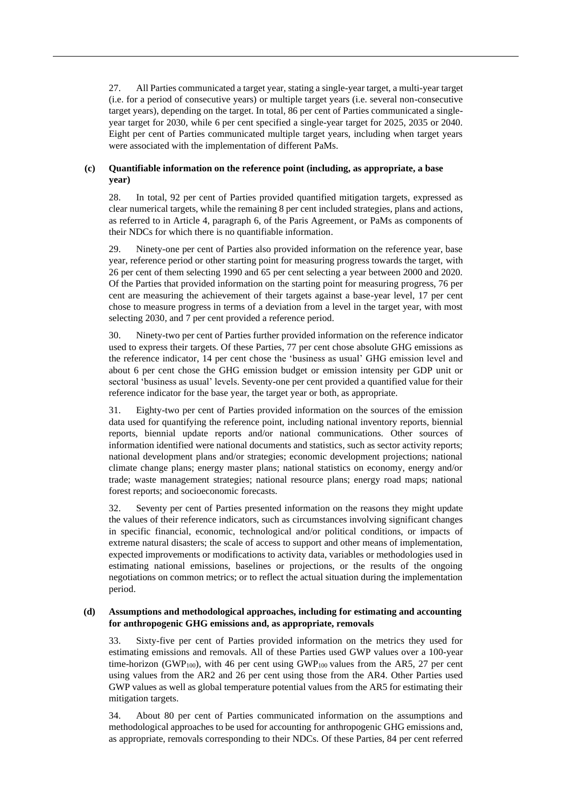27. All Parties communicated a target year, stating a single-year target, a multi-year target (i.e. for a period of consecutive years) or multiple target years (i.e. several non-consecutive target years), depending on the target. In total, 86 per cent of Parties communicated a singleyear target for 2030, while 6 per cent specified a single-year target for 2025, 2035 or 2040. Eight per cent of Parties communicated multiple target years, including when target years were associated with the implementation of different PaMs.

### **(c) Quantifiable information on the reference point (including, as appropriate, a base year)**

28. In total, 92 per cent of Parties provided quantified mitigation targets, expressed as clear numerical targets, while the remaining 8 per cent included strategies, plans and actions, as referred to in Article 4, paragraph 6, of the Paris Agreement, or PaMs as components of their NDCs for which there is no quantifiable information.

29. Ninety-one per cent of Parties also provided information on the reference year, base year, reference period or other starting point for measuring progress towards the target, with 26 per cent of them selecting 1990 and 65 per cent selecting a year between 2000 and 2020. Of the Parties that provided information on the starting point for measuring progress, 76 per cent are measuring the achievement of their targets against a base-year level, 17 per cent chose to measure progress in terms of a deviation from a level in the target year, with most selecting 2030, and 7 per cent provided a reference period.

30. Ninety-two per cent of Parties further provided information on the reference indicator used to express their targets. Of these Parties, 77 per cent chose absolute GHG emissions as the reference indicator, 14 per cent chose the 'business as usual' GHG emission level and about 6 per cent chose the GHG emission budget or emission intensity per GDP unit or sectoral 'business as usual' levels. Seventy-one per cent provided a quantified value for their reference indicator for the base year, the target year or both, as appropriate.

31. Eighty-two per cent of Parties provided information on the sources of the emission data used for quantifying the reference point, including national inventory reports, biennial reports, biennial update reports and/or national communications. Other sources of information identified were national documents and statistics, such as sector activity reports; national development plans and/or strategies; economic development projections; national climate change plans; energy master plans; national statistics on economy, energy and/or trade; waste management strategies; national resource plans; energy road maps; national forest reports; and socioeconomic forecasts.

32. Seventy per cent of Parties presented information on the reasons they might update the values of their reference indicators, such as circumstances involving significant changes in specific financial, economic, technological and/or political conditions, or impacts of extreme natural disasters; the scale of access to support and other means of implementation, expected improvements or modifications to activity data, variables or methodologies used in estimating national emissions, baselines or projections, or the results of the ongoing negotiations on common metrics; or to reflect the actual situation during the implementation period.

#### **(d) Assumptions and methodological approaches, including for estimating and accounting for anthropogenic GHG emissions and, as appropriate, removals**

33. Sixty-five per cent of Parties provided information on the metrics they used for estimating emissions and removals. All of these Parties used GWP values over a 100-year time-horizon (GWP<sub>100</sub>), with 46 per cent using GWP<sub>100</sub> values from the AR5, 27 per cent using values from the AR2 and 26 per cent using those from the AR4. Other Parties used GWP values as well as global temperature potential values from the AR5 for estimating their mitigation targets.

34. About 80 per cent of Parties communicated information on the assumptions and methodological approaches to be used for accounting for anthropogenic GHG emissions and, as appropriate, removals corresponding to their NDCs. Of these Parties, 84 per cent referred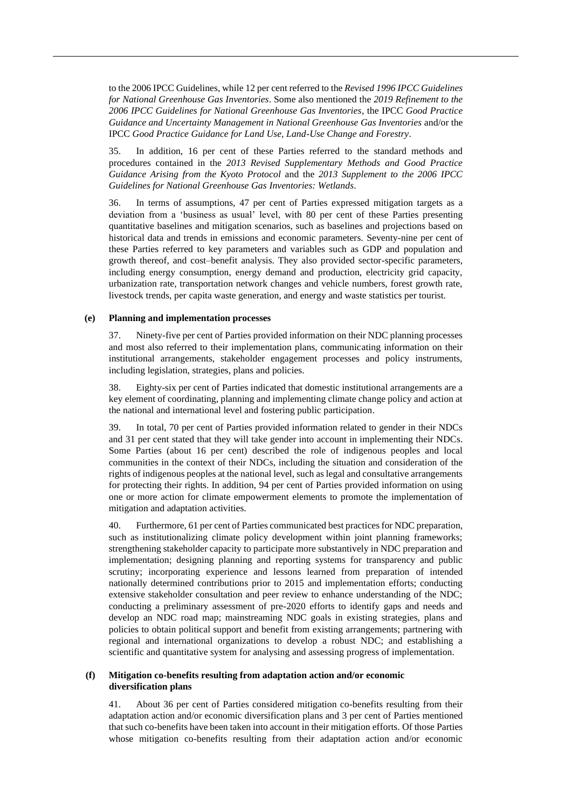to the 2006 IPCC Guidelines, while 12 per cent referred to the *Revised 1996 IPCC Guidelines for National Greenhouse Gas Inventories*. Some also mentioned the *2019 Refinement to the 2006 IPCC Guidelines for National Greenhouse Gas Inventories*, the IPCC *Good Practice Guidance and Uncertainty Management in National Greenhouse Gas Inventories* and/or the IPCC *Good Practice Guidance for Land Use, Land-Use Change and Forestry*.

35. In addition, 16 per cent of these Parties referred to the standard methods and procedures contained in the *2013 Revised Supplementary Methods and Good Practice Guidance Arising from the Kyoto Protocol* and the *2013 Supplement to the 2006 IPCC Guidelines for National Greenhouse Gas Inventories: Wetlands*.

36. In terms of assumptions, 47 per cent of Parties expressed mitigation targets as a deviation from a 'business as usual' level, with 80 per cent of these Parties presenting quantitative baselines and mitigation scenarios, such as baselines and projections based on historical data and trends in emissions and economic parameters. Seventy-nine per cent of these Parties referred to key parameters and variables such as GDP and population and growth thereof, and cost–benefit analysis. They also provided sector-specific parameters, including energy consumption, energy demand and production, electricity grid capacity, urbanization rate, transportation network changes and vehicle numbers, forest growth rate, livestock trends, per capita waste generation, and energy and waste statistics per tourist.

#### **(e) Planning and implementation processes**

37. Ninety-five per cent of Parties provided information on their NDC planning processes and most also referred to their implementation plans, communicating information on their institutional arrangements, stakeholder engagement processes and policy instruments, including legislation, strategies, plans and policies.

38. Eighty-six per cent of Parties indicated that domestic institutional arrangements are a key element of coordinating, planning and implementing climate change policy and action at the national and international level and fostering public participation.

39. In total, 70 per cent of Parties provided information related to gender in their NDCs and 31 per cent stated that they will take gender into account in implementing their NDCs. Some Parties (about 16 per cent) described the role of indigenous peoples and local communities in the context of their NDCs, including the situation and consideration of the rights of indigenous peoples at the national level, such as legal and consultative arrangements for protecting their rights. In addition, 94 per cent of Parties provided information on using one or more action for climate empowerment elements to promote the implementation of mitigation and adaptation activities.

40. Furthermore, 61 per cent of Parties communicated best practices for NDC preparation, such as institutionalizing climate policy development within joint planning frameworks; strengthening stakeholder capacity to participate more substantively in NDC preparation and implementation; designing planning and reporting systems for transparency and public scrutiny; incorporating experience and lessons learned from preparation of intended nationally determined contributions prior to 2015 and implementation efforts; conducting extensive stakeholder consultation and peer review to enhance understanding of the NDC; conducting a preliminary assessment of pre-2020 efforts to identify gaps and needs and develop an NDC road map; mainstreaming NDC goals in existing strategies, plans and policies to obtain political support and benefit from existing arrangements; partnering with regional and international organizations to develop a robust NDC; and establishing a scientific and quantitative system for analysing and assessing progress of implementation.

### **(f) Mitigation co-benefits resulting from adaptation action and/or economic diversification plans**

41. About 36 per cent of Parties considered mitigation co-benefits resulting from their adaptation action and/or economic diversification plans and 3 per cent of Parties mentioned that such co-benefits have been taken into account in their mitigation efforts. Of those Parties whose mitigation co-benefits resulting from their adaptation action and/or economic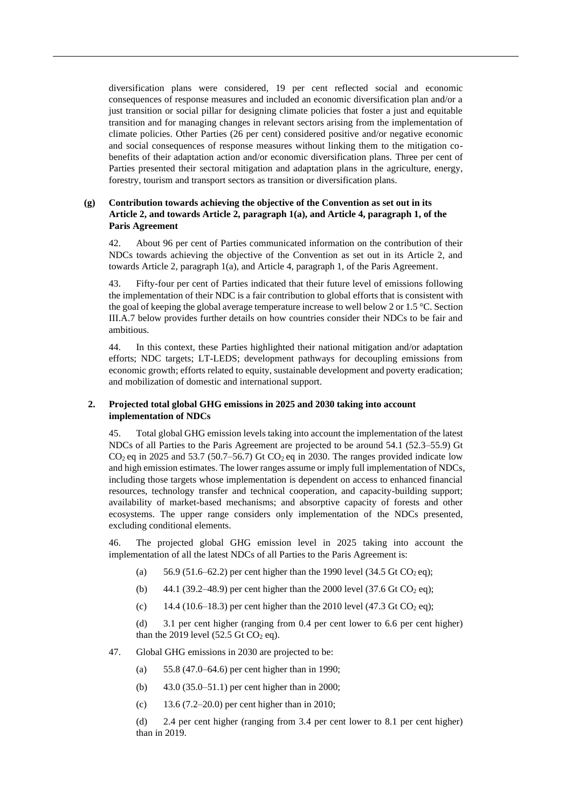diversification plans were considered, 19 per cent reflected social and economic consequences of response measures and included an economic diversification plan and/or a just transition or social pillar for designing climate policies that foster a just and equitable transition and for managing changes in relevant sectors arising from the implementation of climate policies. Other Parties (26 per cent) considered positive and/or negative economic and social consequences of response measures without linking them to the mitigation cobenefits of their adaptation action and/or economic diversification plans. Three per cent of Parties presented their sectoral mitigation and adaptation plans in the agriculture, energy, forestry, tourism and transport sectors as transition or diversification plans.

## **(g) Contribution towards achieving the objective of the Convention as set out in its Article 2, and towards Article 2, paragraph 1(a), and Article 4, paragraph 1, of the Paris Agreement**

42. About 96 per cent of Parties communicated information on the contribution of their NDCs towards achieving the objective of the Convention as set out in its Article 2, and towards Article 2, paragraph 1(a), and Article 4, paragraph 1, of the Paris Agreement.

43. Fifty-four per cent of Parties indicated that their future level of emissions following the implementation of their NDC is a fair contribution to global efforts that is consistent with the goal of keeping the global average temperature increase to well below 2 or 1.5 °C. Section III.A.7 below provides further details on how countries consider their NDCs to be fair and ambitious.

44. In this context, these Parties highlighted their national mitigation and/or adaptation efforts; NDC targets; LT-LEDS; development pathways for decoupling emissions from economic growth; efforts related to equity, sustainable development and poverty eradication; and mobilization of domestic and international support.

## **2. Projected total global GHG emissions in 2025 and 2030 taking into account implementation of NDCs**

45. Total global GHG emission levels taking into account the implementation of the latest NDCs of all Parties to the Paris Agreement are projected to be around 54.1 (52.3–55.9) Gt  $CO<sub>2</sub>$  eq in 2025 and 53.7 (50.7–56.7) Gt  $CO<sub>2</sub>$  eq in 2030. The ranges provided indicate low and high emission estimates. The lower ranges assume or imply full implementation of NDCs, including those targets whose implementation is dependent on access to enhanced financial resources, technology transfer and technical cooperation, and capacity-building support; availability of market-based mechanisms; and absorptive capacity of forests and other ecosystems. The upper range considers only implementation of the NDCs presented, excluding conditional elements.

46. The projected global GHG emission level in 2025 taking into account the implementation of all the latest NDCs of all Parties to the Paris Agreement is:

- (a) 56.9 (51.6–62.2) per cent higher than the 1990 level (34.5 Gt  $CO<sub>2</sub>$ eq);
- (b) 44.1 (39.2–48.9) per cent higher than the 2000 level (37.6 Gt  $CO_2$  eq);
- (c) 14.4 (10.6–18.3) per cent higher than the 2010 level (47.3 Gt CO<sub>2</sub> eq);

(d) 3.1 per cent higher (ranging from 0.4 per cent lower to 6.6 per cent higher) than the 2019 level (52.5 Gt  $CO<sub>2</sub>$  eq).

- 47. Global GHG emissions in 2030 are projected to be:
	- (a) 55.8 (47.0–64.6) per cent higher than in 1990;
	- (b) 43.0 (35.0–51.1) per cent higher than in 2000;
	- (c) 13.6 (7.2–20.0) per cent higher than in 2010;

(d) 2.4 per cent higher (ranging from 3.4 per cent lower to 8.1 per cent higher) than in 2019.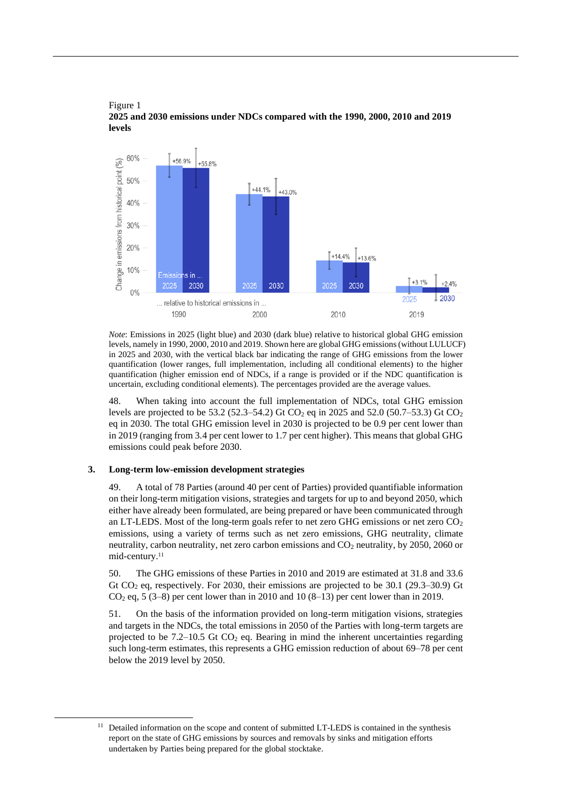

Figure 1 **2025 and 2030 emissions under NDCs compared with the 1990, 2000, 2010 and 2019 levels**

*Note*: Emissions in 2025 (light blue) and 2030 (dark blue) relative to historical global GHG emission levels, namely in 1990, 2000, 2010 and 2019. Shown here are global GHG emissions (without LULUCF) in 2025 and 2030, with the vertical black bar indicating the range of GHG emissions from the lower quantification (lower ranges, full implementation, including all conditional elements) to the higher quantification (higher emission end of NDCs, if a range is provided or if the NDC quantification is uncertain, excluding conditional elements). The percentages provided are the average values.

48. When taking into account the full implementation of NDCs, total GHG emission levels are projected to be 53.2 (52.3–54.2) Gt CO<sub>2</sub> eq in 2025 and 52.0 (50.7–53.3) Gt CO<sub>2</sub> eq in 2030. The total GHG emission level in 2030 is projected to be 0.9 per cent lower than in 2019 (ranging from 3.4 per cent lower to 1.7 per cent higher). This means that global GHG emissions could peak before 2030.

#### **3. Long-term low-emission development strategies**

49. A total of 78 Parties (around 40 per cent of Parties) provided quantifiable information on their long-term mitigation visions, strategies and targets for up to and beyond 2050, which either have already been formulated, are being prepared or have been communicated through an LT-LEDS. Most of the long-term goals refer to net zero GHG emissions or net zero  $CO<sub>2</sub>$ emissions, using a variety of terms such as net zero emissions, GHG neutrality, climate neutrality, carbon neutrality, net zero carbon emissions and  $CO<sub>2</sub>$  neutrality, by 2050, 2060 or mid-century. 11

50. The GHG emissions of these Parties in 2010 and 2019 are estimated at 31.8 and 33.6 Gt  $CO<sub>2</sub>$  eq, respectively. For 2030, their emissions are projected to be 30.1 (29.3–30.9) Gt  $CO<sub>2</sub>$  eq, 5 (3–8) per cent lower than in 2010 and 10 (8–13) per cent lower than in 2019.

51. On the basis of the information provided on long-term mitigation visions, strategies and targets in the NDCs, the total emissions in 2050 of the Parties with long-term targets are projected to be  $7.2-10.5$  Gt  $CO<sub>2</sub>$  eq. Bearing in mind the inherent uncertainties regarding such long-term estimates, this represents a GHG emission reduction of about 69–78 per cent below the 2019 level by 2050.

<sup>&</sup>lt;sup>11</sup> Detailed information on the scope and content of submitted LT-LEDS is contained in the synthesis report on the state of GHG emissions by sources and removals by sinks and mitigation efforts undertaken by Parties being prepared for the global stocktake.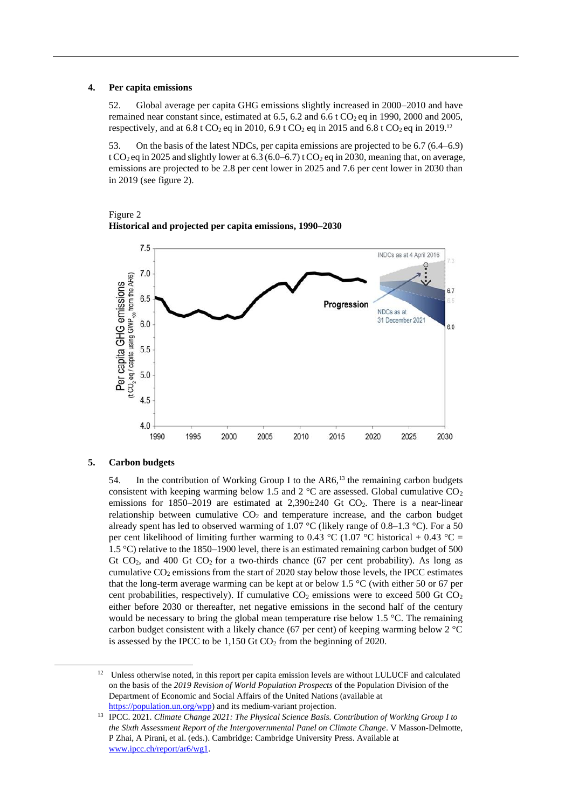#### **4. Per capita emissions**

52. Global average per capita GHG emissions slightly increased in 2000–2010 and have remained near constant since, estimated at 6.5, 6.2 and 6.6 t  $CO<sub>2</sub>$  eq in 1990, 2000 and 2005, respectively, and at 6.8 t CO<sub>2</sub> eq in 2010, 6.9 t CO<sub>2</sub> eq in 2015 and 6.8 t CO<sub>2</sub> eq in 2019.<sup>12</sup>

53. On the basis of the latest NDCs, per capita emissions are projected to be 6.7 (6.4–6.9) t CO<sub>2</sub> eq in 2025 and slightly lower at 6.3 (6.0–6.7) t CO<sub>2</sub> eq in 2030, meaning that, on average, emissions are projected to be 2.8 per cent lower in 2025 and 7.6 per cent lower in 2030 than in 2019 (see figure 2).



Figure 2 **Historical and projected per capita emissions, 1990–2030**

### **5. Carbon budgets**

54. In the contribution of Working Group I to the AR6,<sup>13</sup> the remaining carbon budgets consistent with keeping warming below 1.5 and 2  $^{\circ}$ C are assessed. Global cumulative CO<sub>2</sub> emissions for  $1850-2019$  are estimated at  $2,390\pm240$  Gt CO<sub>2</sub>. There is a near-linear relationship between cumulative  $CO<sub>2</sub>$  and temperature increase, and the carbon budget already spent has led to observed warming of 1.07 °C (likely range of 0.8–1.3 °C). For a 50 per cent likelihood of limiting further warming to 0.43 °C (1.07 °C historical + 0.43 °C = 1.5 °C) relative to the 1850–1900 level, there is an estimated remaining carbon budget of 500 Gt  $CO<sub>2</sub>$ , and 400 Gt  $CO<sub>2</sub>$  for a two-thirds chance (67 per cent probability). As long as cumulative  $CO<sub>2</sub>$  emissions from the start of 2020 stay below those levels, the IPCC estimates that the long-term average warming can be kept at or below 1.5 °C (with either 50 or 67 per cent probabilities, respectively). If cumulative  $CO<sub>2</sub>$  emissions were to exceed 500 Gt  $CO<sub>2</sub>$ either before 2030 or thereafter, net negative emissions in the second half of the century would be necessary to bring the global mean temperature rise below 1.5 °C. The remaining carbon budget consistent with a likely chance (67 per cent) of keeping warming below 2 °C is assessed by the IPCC to be  $1,150$  Gt  $CO<sub>2</sub>$  from the beginning of 2020.

<sup>&</sup>lt;sup>12</sup> Unless otherwise noted, in this report per capita emission levels are without LULUCF and calculated on the basis of the *2019 Revision of World Population Prospects* of the Population Division of the Department of Economic and Social Affairs of the United Nations (available at [https://population.un.org/wpp\)](https://population.un.org/wpp/) and its medium-variant projection.

<sup>13</sup> IPCC. 2021. *Climate Change 2021: The Physical Science Basis. Contribution of Working Group I to the Sixth Assessment Report of the Intergovernmental Panel on Climate Change*. V Masson-Delmotte, P Zhai, A Pirani, et al. (eds.). Cambridge: Cambridge University Press. Available at [www.ipcc.ch/report/ar6/wg1.](https://www.ipcc.ch/report/ar6/wg1/)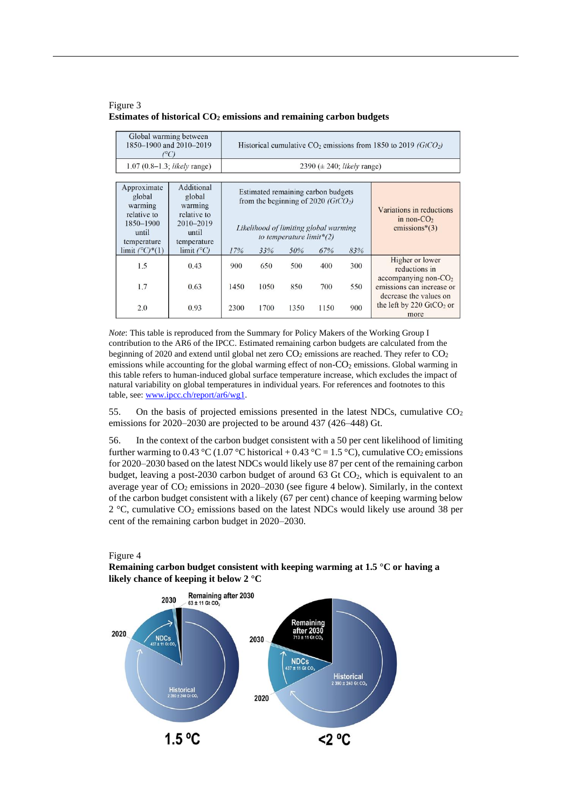#### Figure 3 **Estimates of historical CO<sup>2</sup> emissions and remaining carbon budgets**

| Global warming between<br>1850-1900 and 2010-2019<br>$C^{\circ}$                                                |                                                                                                            |      |      |                                                                                                                                                          |      | Historical cumulative $CO_2$ emissions from 1850 to 2019 (GtCO <sub>2</sub> ) |                                                                                |
|-----------------------------------------------------------------------------------------------------------------|------------------------------------------------------------------------------------------------------------|------|------|----------------------------------------------------------------------------------------------------------------------------------------------------------|------|-------------------------------------------------------------------------------|--------------------------------------------------------------------------------|
| $1.07(0.8-1.3;$ likely range)                                                                                   |                                                                                                            |      |      | 2390 ( $\pm$ 240; <i>likely</i> range)                                                                                                                   |      |                                                                               |                                                                                |
| Approximate<br>global<br>warming<br>relative to<br>1850-1900<br>until<br>temperature<br>limit $(^{\circ}C)*(1)$ | Additional<br>global<br>warming<br>relative to<br>2010-2019<br>until<br>temperature<br>limit $(^{\circ}C)$ | 17%  | 33%  | Estimated remaining carbon budgets<br>from the beginning of 2020 ( $GtCO2$ )<br>Likelihood of limiting global warming<br>to temperature limit*(2)<br>50% | 67%  | 83%                                                                           | Variations in reductions<br>in non- $CO2$<br>emissions $*(3)$                  |
| 1.5                                                                                                             | 0.43                                                                                                       | 900  | 650  | 500                                                                                                                                                      | 400  | 300                                                                           | Higher or lower<br>reductions in                                               |
| 1.7                                                                                                             | 0.63                                                                                                       | 1450 | 1050 | 850                                                                                                                                                      | 700  | 550                                                                           | accompanying non- $CO2$<br>emissions can increase or<br>decrease the values on |
| 2.0                                                                                                             | 0.93                                                                                                       | 2300 | 1700 | 1350                                                                                                                                                     | 1150 | 900                                                                           | the left by 220 $GtCO2$ or<br>more                                             |

*Note*: This table is reproduced from the Summary for Policy Makers of the Working Group I contribution to the AR6 of the IPCC. Estimated remaining carbon budgets are calculated from the beginning of 2020 and extend until global net zero  $CO<sub>2</sub>$  emissions are reached. They refer to  $CO<sub>2</sub>$ emissions while accounting for the global warming effect of non- $CO<sub>2</sub>$  emissions. Global warming in this table refers to human-induced global surface temperature increase, which excludes the impact of natural variability on global temperatures in individual years. For references and footnotes to this table, see[: www.ipcc.ch/report/ar6/wg1.](https://www.ipcc.ch/report/ar6/wg1/)

55. On the basis of projected emissions presented in the latest NDCs, cumulative  $CO<sub>2</sub>$ emissions for 2020–2030 are projected to be around 437 (426–448) Gt.

56. In the context of the carbon budget consistent with a 50 per cent likelihood of limiting further warming to 0.43 °C (1.07 °C historical + 0.43 °C = 1.5 °C), cumulative CO<sub>2</sub> emissions for 2020–2030 based on the latest NDCs would likely use 87 per cent of the remaining carbon budget, leaving a post-2030 carbon budget of around 63 Gt  $CO<sub>2</sub>$ , which is equivalent to an average year of  $CO<sub>2</sub>$  emissions in 2020–2030 (see figure 4 below). Similarly, in the context of the carbon budget consistent with a likely (67 per cent) chance of keeping warming below  $2^{\circ}$ C, cumulative CO<sub>2</sub> emissions based on the latest NDCs would likely use around 38 per cent of the remaining carbon budget in 2020–2030.



**Remaining carbon budget consistent with keeping warming at 1.5 °C or having a likely chance of keeping it below 2 °C**

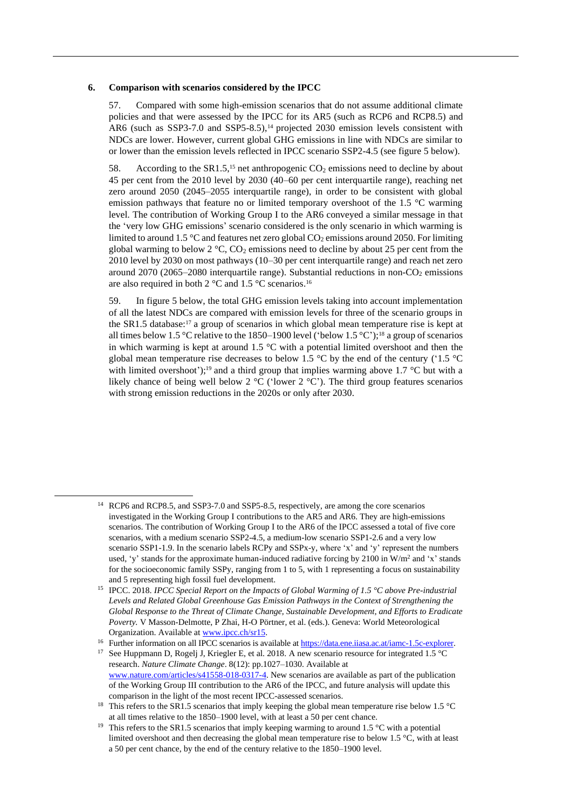#### **6. Comparison with scenarios considered by the IPCC**

57. Compared with some high-emission scenarios that do not assume additional climate policies and that were assessed by the IPCC for its AR5 (such as RCP6 and RCP8.5) and AR6 (such as SSP3-7.0 and SSP5-8.5),<sup>14</sup> projected 2030 emission levels consistent with NDCs are lower. However, current global GHG emissions in line with NDCs are similar to or lower than the emission levels reflected in IPCC scenario SSP2-4.5 (see figure 5 below).

58. According to the SR1.5,<sup>15</sup> net anthropogenic  $CO_2$  emissions need to decline by about 45 per cent from the 2010 level by 2030 (40–60 per cent interquartile range), reaching net zero around 2050 (2045–2055 interquartile range), in order to be consistent with global emission pathways that feature no or limited temporary overshoot of the 1.5 °C warming level. The contribution of Working Group I to the AR6 conveyed a similar message in that the 'very low GHG emissions' scenario considered is the only scenario in which warming is limited to around 1.5 °C and features net zero global  $CO_2$  emissions around 2050. For limiting global warming to below  $2 \degree C$ , CO<sub>2</sub> emissions need to decline by about 25 per cent from the 2010 level by 2030 on most pathways (10–30 per cent interquartile range) and reach net zero around 2070 (2065–2080 interquartile range). Substantial reductions in non- $CO<sub>2</sub>$  emissions are also required in both 2  $\mathrm{^{\circ}C}$  and 1.5  $\mathrm{^{\circ}C}$  scenarios.<sup>16</sup>

59. In figure 5 below, the total GHG emission levels taking into account implementation of all the latest NDCs are compared with emission levels for three of the scenario groups in the SR1.5 database: $17$  a group of scenarios in which global mean temperature rise is kept at all times below 1.5 °C relative to the 1850–1900 level ('below 1.5 °C');<sup>18</sup> a group of scenarios in which warming is kept at around  $1.5 \degree C$  with a potential limited overshoot and then the global mean temperature rise decreases to below 1.5  $^{\circ}$ C by the end of the century ('1.5  $^{\circ}$ C with limited overshoot');<sup>19</sup> and a third group that implies warming above 1.7 °C but with a likely chance of being well below 2  $^{\circ}$ C ('lower 2  $^{\circ}$ C'). The third group features scenarios with strong emission reductions in the 2020s or only after 2030.

<sup>17</sup> See Huppmann D, Rogelj J, Kriegler E, et al. 2018. A new scenario resource for integrated 1.5 °C research. *Nature Climate Change*. 8(12): pp.1027–1030. Available at [www.nature.com/articles/s41558-018-0317-4.](https://www.nature.com/articles/s41558-018-0317-4) New scenarios are available as part of the publication of the Working Group III contribution to the AR6 of the IPCC, and future analysis will update this comparison in the light of the most recent IPCC-assessed scenarios.

<sup>&</sup>lt;sup>14</sup> RCP6 and RCP8.5, and SSP3-7.0 and SSP5-8.5, respectively, are among the core scenarios investigated in the Working Group I contributions to the AR5 and AR6. They are high-emissions scenarios. The contribution of Working Group I to the AR6 of the IPCC assessed a total of five core scenarios, with a medium scenario SSP2-4.5, a medium-low scenario SSP1-2.6 and a very low scenario SSP1-1.9. In the scenario labels RCPy and SSPx-y, where 'x' and 'y' represent the numbers used, 'y' stands for the approximate human-induced radiative forcing by 2100 in  $W/m^2$  and 'x' stands for the socioeconomic family SSPy, ranging from 1 to 5, with 1 representing a focus on sustainability and 5 representing high fossil fuel development.

<sup>15</sup> IPCC. 2018. *IPCC Special Report on the Impacts of Global Warming of 1.5 °C above Pre-industrial Levels and Related Global Greenhouse Gas Emission Pathways in the Context of Strengthening the Global Response to the Threat of Climate Change, Sustainable Development, and Efforts to Eradicate Poverty.* V Masson-Delmotte, P Zhai, H-O Pörtner, et al. (eds.). Geneva: World Meteorological Organization. Available at [www.ipcc.ch/sr15.](https://www.ipcc.ch/sr15/)

<sup>&</sup>lt;sup>16</sup> Further information on all IPCC scenarios is available a[t https://data.ene.iiasa.ac.at/iamc-1.5c-explorer.](https://data.ene.iiasa.ac.at/iamc-1.5c-explorer/)

<sup>&</sup>lt;sup>18</sup> This refers to the SR1.5 scenarios that imply keeping the global mean temperature rise below 1.5 °C at all times relative to the 1850–1900 level, with at least a 50 per cent chance.

<sup>&</sup>lt;sup>19</sup> This refers to the SR1.5 scenarios that imply keeping warming to around 1.5 °C with a potential limited overshoot and then decreasing the global mean temperature rise to below 1.5 °C, with at least a 50 per cent chance, by the end of the century relative to the 1850–1900 level.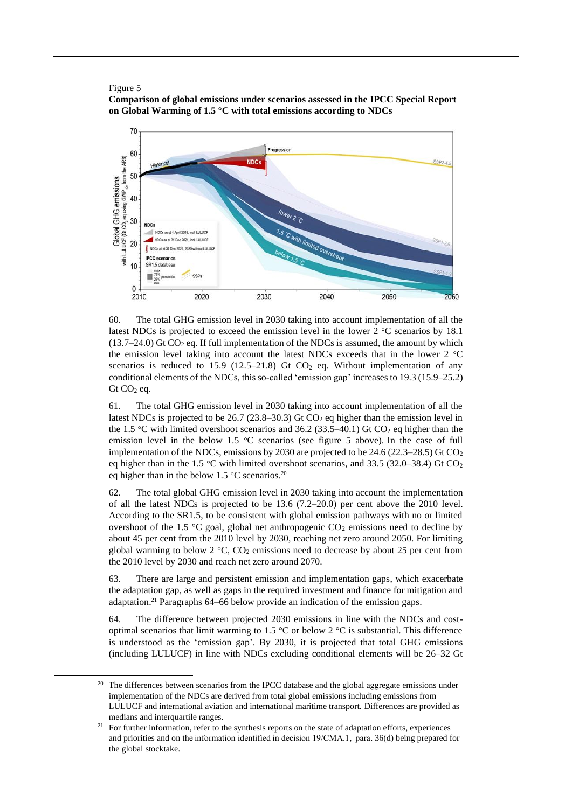#### Figure 5

**Comparison of global emissions under scenarios assessed in the IPCC Special Report on Global Warming of 1.5 °C with total emissions according to NDCs**



<span id="page-14-0"></span>60. The total GHG emission level in 2030 taking into account implementation of all the latest NDCs is projected to exceed the emission level in the lower  $2 \degree C$  scenarios by 18.1  $(13.7–24.0)$  Gt CO<sub>2</sub> eq. If full implementation of the NDCs is assumed, the amount by which the emission level taking into account the latest NDCs exceeds that in the lower 2 °C scenarios is reduced to 15.9 (12.5–21.8) Gt  $CO<sub>2</sub>$  eq. Without implementation of any conditional elements of the NDCs, this so-called 'emission gap' increases to 19.3 (15.9–25.2)  $Gt CO<sub>2</sub> eq.$ 

61. The total GHG emission level in 2030 taking into account implementation of all the latest NDCs is projected to be 26.7 (23.8–30.3) Gt CO<sub>2</sub> eq higher than the emission level in the 1.5 °C with limited overshoot scenarios and 36.2 (33.5–40.1) Gt CO<sub>2</sub> eq higher than the emission level in the below 1.5  $\degree$ C scenarios (see figure 5 above). In the case of full implementation of the NDCs, emissions by 2030 are projected to be  $24.6$  ( $22.3-28.5$ ) Gt CO<sub>2</sub> eq higher than in the 1.5 °C with limited overshoot scenarios, and 33.5 (32.0–38.4) Gt CO<sub>2</sub> eq higher than in the below 1.5 °C scenarios.<sup>20</sup>

<span id="page-14-1"></span>62. The total global GHG emission level in 2030 taking into account the implementation of all the latest NDCs is projected to be 13.6 (7.2–20.0) per cent above the 2010 level. According to the SR1.5, to be consistent with global emission pathways with no or limited overshoot of the 1.5  $\degree$ C goal, global net anthropogenic CO<sub>2</sub> emissions need to decline by about 45 per cent from the 2010 level by 2030, reaching net zero around 2050. For limiting global warming to below  $2 \degree C$ ,  $CO_2$  emissions need to decrease by about 25 per cent from the 2010 level by 2030 and reach net zero around 2070.

63. There are large and persistent emission and implementation gaps, which exacerbate the adaptation gap, as well as gaps in the required investment and finance for mitigation and adaptation. <sup>21</sup> Paragraphs 64–66 below provide an indication of the emission gaps.

64. The difference between projected 2030 emissions in line with the NDCs and costoptimal scenarios that limit warming to 1.5 °C or below 2 °C is substantial. This difference is understood as the 'emission gap'. By 2030, it is projected that total GHG emissions (including LULUCF) in line with NDCs excluding conditional elements will be 26–32 Gt

<sup>&</sup>lt;sup>20</sup> The differences between scenarios from the IPCC database and the global aggregate emissions under implementation of the NDCs are derived from total global emissions including emissions from LULUCF and international aviation and international maritime transport. Differences are provided as medians and interquartile ranges.

 $21$  For further information, refer to the synthesis reports on the state of adaptation efforts, experiences and priorities and on the information identified in decision 19/CMA.1,  para. 36(d) being prepared for the global stocktake.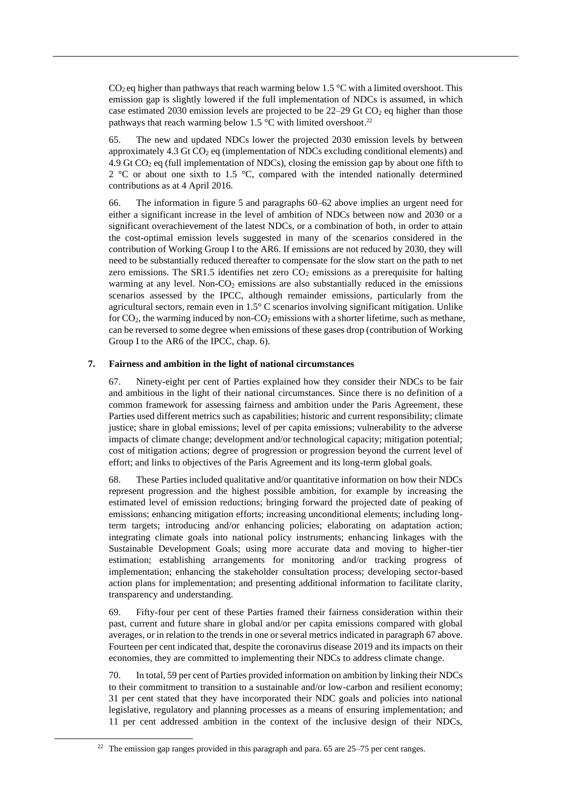$CO<sub>2</sub>$  eq higher than pathways that reach warming below 1.5 °C with a limited overshoot. This emission gap is slightly lowered if the full implementation of NDCs is assumed, in which case estimated 2030 emission levels are projected to be  $22-29$  Gt  $CO<sub>2</sub>$  eq higher than those pathways that reach warming below 1.5  $\degree$ C with limited overshoot.<sup>22</sup>

<span id="page-15-1"></span>65. The new and updated NDCs lower the projected 2030 emission levels by between approximately 4.3 Gt  $CO<sub>2</sub>$  eq (implementation of NDCs excluding conditional elements) and 4.9 Gt  $CO<sub>2</sub>$  eq (full implementation of NDCs), closing the emission gap by about one fifth to 2  $\degree$ C or about one sixth to 1.5  $\degree$ C, compared with the intended nationally determined contributions as at 4 April 2016.

66. The information in figure 5 and paragraphs [60](#page-14-0)[–62](#page-14-1) above implies an urgent need for either a significant increase in the level of ambition of NDCs between now and 2030 or a significant overachievement of the latest NDCs, or a combination of both, in order to attain the cost-optimal emission levels suggested in many of the scenarios considered in the contribution of Working Group I to the AR6. If emissions are not reduced by 2030, they will need to be substantially reduced thereafter to compensate for the slow start on the path to net zero emissions. The SR1.5 identifies net zero  $CO<sub>2</sub>$  emissions as a prerequisite for halting warming at any level. Non- $CO<sub>2</sub>$  emissions are also substantially reduced in the emissions scenarios assessed by the IPCC, although remainder emissions, particularly from the agricultural sectors, remain even in 1.5° C scenarios involving significant mitigation. Unlike for  $CO<sub>2</sub>$ , the warming induced by non- $CO<sub>2</sub>$  emissions with a shorter lifetime, such as methane, can be reversed to some degree when emissions of these gases drop (contribution of Working Group I to the AR6 of the IPCC, chap. 6).

### <span id="page-15-0"></span>**7. Fairness and ambition in the light of national circumstances**

67. Ninety-eight per cent of Parties explained how they consider their NDCs to be fair and ambitious in the light of their national circumstances. Since there is no definition of a common framework for assessing fairness and ambition under the Paris Agreement, these Parties used different metrics such as capabilities; historic and current responsibility; climate justice; share in global emissions; level of per capita emissions; vulnerability to the adverse impacts of climate change; development and/or technological capacity; mitigation potential; cost of mitigation actions; degree of progression or progression beyond the current level of effort; and links to objectives of the Paris Agreement and its long-term global goals.

68. These Parties included qualitative and/or quantitative information on how their NDCs represent progression and the highest possible ambition, for example by increasing the estimated level of emission reductions; bringing forward the projected date of peaking of emissions; enhancing mitigation efforts; increasing unconditional elements; including longterm targets; introducing and/or enhancing policies; elaborating on adaptation action; integrating climate goals into national policy instruments; enhancing linkages with the Sustainable Development Goals; using more accurate data and moving to higher-tier estimation; establishing arrangements for monitoring and/or tracking progress of implementation; enhancing the stakeholder consultation process; developing sector-based action plans for implementation; and presenting additional information to facilitate clarity, transparency and understanding.

69. Fifty-four per cent of these Parties framed their fairness consideration within their past, current and future share in global and/or per capita emissions compared with global averages, or in relation to the trends in one or several metrics indicated in paragrap[h 67](#page-15-0) above. Fourteen per cent indicated that, despite the coronavirus disease 2019 and its impacts on their economies, they are committed to implementing their NDCs to address climate change.

70. In total, 59 per cent of Parties provided information on ambition by linking their NDCs to their commitment to transition to a sustainable and/or low-carbon and resilient economy; 31 per cent stated that they have incorporated their NDC goals and policies into national legislative, regulatory and planning processes as a means of ensuring implementation; and 11 per cent addressed ambition in the context of the inclusive design of their NDCs,

 $22$  The emission gap ranges provided in this paragraph and para. [65](#page-15-1) are 25–75 per cent ranges.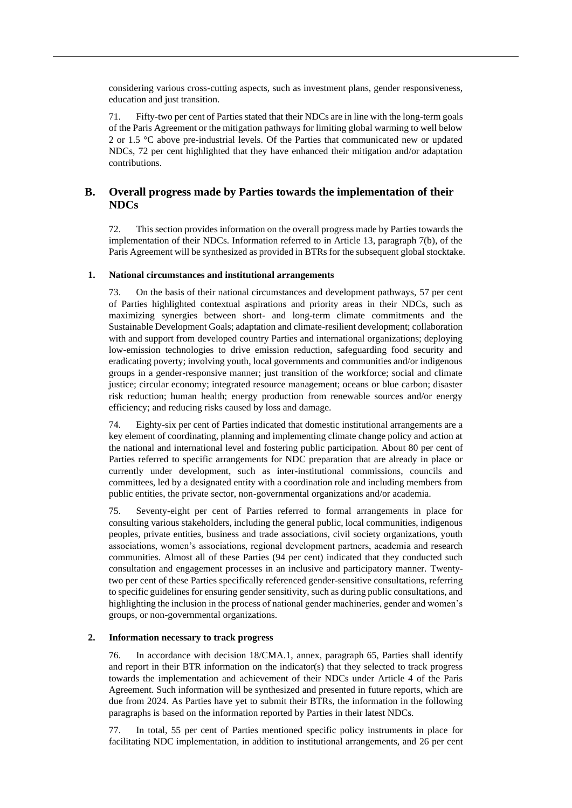considering various cross-cutting aspects, such as investment plans, gender responsiveness, education and just transition.

71. Fifty-two per cent of Parties stated that their NDCs are in line with the long-term goals of the Paris Agreement or the mitigation pathways for limiting global warming to well below 2 or 1.5 °C above pre-industrial levels. Of the Parties that communicated new or updated NDCs, 72 per cent highlighted that they have enhanced their mitigation and/or adaptation contributions.

## **B. Overall progress made by Parties towards the implementation of their NDCs**

72. This section provides information on the overall progress made by Parties towards the implementation of their NDCs. Information referred to in Article 13, paragraph 7(b), of the Paris Agreement will be synthesized as provided in BTRs for the subsequent global stocktake.

#### **1. National circumstances and institutional arrangements**

73. On the basis of their national circumstances and development pathways, 57 per cent of Parties highlighted contextual aspirations and priority areas in their NDCs, such as maximizing synergies between short- and long-term climate commitments and the Sustainable Development Goals; adaptation and climate-resilient development; collaboration with and support from developed country Parties and international organizations; deploying low-emission technologies to drive emission reduction, safeguarding food security and eradicating poverty; involving youth, local governments and communities and/or indigenous groups in a gender-responsive manner; just transition of the workforce; social and climate justice; circular economy; integrated resource management; oceans or blue carbon; disaster risk reduction; human health; energy production from renewable sources and/or energy efficiency; and reducing risks caused by loss and damage.

74. Eighty-six per cent of Parties indicated that domestic institutional arrangements are a key element of coordinating, planning and implementing climate change policy and action at the national and international level and fostering public participation. About 80 per cent of Parties referred to specific arrangements for NDC preparation that are already in place or currently under development, such as inter-institutional commissions, councils and committees, led by a designated entity with a coordination role and including members from public entities, the private sector, non-governmental organizations and/or academia.

75. Seventy-eight per cent of Parties referred to formal arrangements in place for consulting various stakeholders, including the general public, local communities, indigenous peoples, private entities, business and trade associations, civil society organizations, youth associations, women's associations, regional development partners, academia and research communities. Almost all of these Parties (94 per cent) indicated that they conducted such consultation and engagement processes in an inclusive and participatory manner. Twentytwo per cent of these Parties specifically referenced gender-sensitive consultations, referring to specific guidelines for ensuring gender sensitivity, such as during public consultations, and highlighting the inclusion in the process of national gender machineries, gender and women's groups, or non-governmental organizations.

#### **2. Information necessary to track progress**

76. In accordance with decision 18/CMA.1, annex, paragraph 65, Parties shall identify and report in their BTR information on the indicator(s) that they selected to track progress towards the implementation and achievement of their NDCs under Article 4 of the Paris Agreement. Such information will be synthesized and presented in future reports, which are due from 2024. As Parties have yet to submit their BTRs, the information in the following paragraphs is based on the information reported by Parties in their latest NDCs.

77. In total, 55 per cent of Parties mentioned specific policy instruments in place for facilitating NDC implementation, in addition to institutional arrangements, and 26 per cent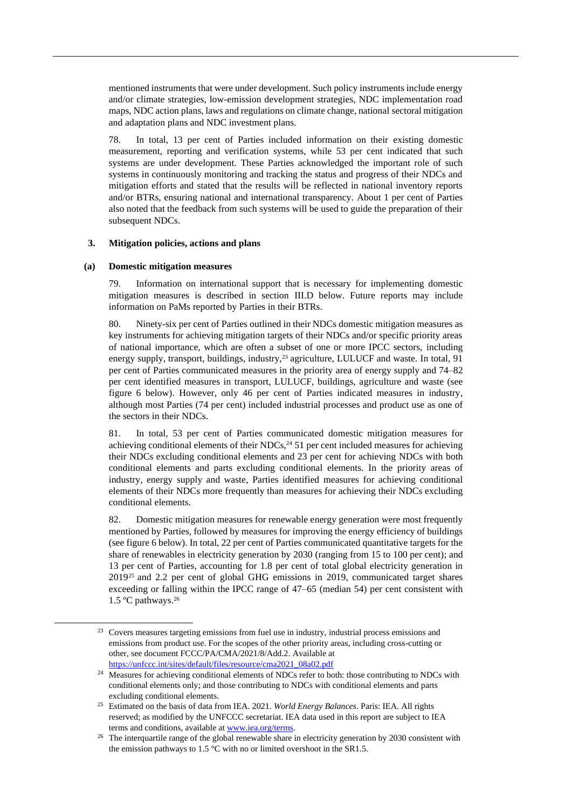mentioned instruments that were under development. Such policy instruments include energy and/or climate strategies, low-emission development strategies, NDC implementation road maps, NDC action plans, laws and regulations on climate change, national sectoral mitigation and adaptation plans and NDC investment plans.

78. In total, 13 per cent of Parties included information on their existing domestic measurement, reporting and verification systems, while 53 per cent indicated that such systems are under development. These Parties acknowledged the important role of such systems in continuously monitoring and tracking the status and progress of their NDCs and mitigation efforts and stated that the results will be reflected in national inventory reports and/or BTRs, ensuring national and international transparency. About 1 per cent of Parties also noted that the feedback from such systems will be used to guide the preparation of their subsequent NDCs.

#### **3. Mitigation policies, actions and plans**

#### **(a) Domestic mitigation measures**

79. Information on international support that is necessary for implementing domestic mitigation measures is described in section III.D below. Future reports may include information on PaMs reported by Parties in their BTRs.

80. Ninety-six per cent of Parties outlined in their NDCs domestic mitigation measures as key instruments for achieving mitigation targets of their NDCs and/or specific priority areas of national importance, which are often a subset of one or more IPCC sectors, including energy supply, transport, buildings, industry,<sup>23</sup> agriculture, LULUCF and waste. In total, 91 per cent of Parties communicated measures in the priority area of energy supply and 74–82 per cent identified measures in transport, LULUCF, buildings, agriculture and waste (see figure 6 below). However, only 46 per cent of Parties indicated measures in industry, although most Parties (74 per cent) included industrial processes and product use as one of the sectors in their NDCs.

81. In total, 53 per cent of Parties communicated domestic mitigation measures for achieving conditional elements of their NDCs, $^{24}$  51 per cent included measures for achieving their NDCs excluding conditional elements and 23 per cent for achieving NDCs with both conditional elements and parts excluding conditional elements. In the priority areas of industry, energy supply and waste, Parties identified measures for achieving conditional elements of their NDCs more frequently than measures for achieving their NDCs excluding conditional elements.

82. Domestic mitigation measures for renewable energy generation were most frequently mentioned by Parties, followed by measures for improving the energy efficiency of buildings (see figure 6 below). In total, 22 per cent of Parties communicated quantitative targets for the share of renewables in electricity generation by 2030 (ranging from 15 to 100 per cent); and 13 per cent of Parties, accounting for 1.8 per cent of total global electricity generation in 2019<sup>25</sup> and 2.2 per cent of global GHG emissions in 2019, communicated target shares exceeding or falling within the IPCC range of 47–65 (median 54) per cent consistent with 1.5 °C pathways.<sup>26</sup>

<sup>&</sup>lt;sup>23</sup> Covers measures targeting emissions from fuel use in industry, industrial process emissions and emissions from product use. For the scopes of the other priority areas, including cross-cutting or other, see document FCCC/PA/CMA/2021/8/Add.2. Available at [https://unfccc.int/sites/default/files/resource/cma2021\\_08a02.pdf](https://unfccc.int/sites/default/files/resource/cma2021_08a02.pdf)

<sup>&</sup>lt;sup>24</sup> Measures for achieving conditional elements of NDCs refer to both: those contributing to NDCs with conditional elements only; and those contributing to NDCs with conditional elements and parts excluding conditional elements.

<sup>25</sup> Estimated on the basis of data from IEA. 2021. *World Energy Balances*. Paris: IEA. All rights reserved; as modified by the UNFCCC secretariat. IEA data used in this report are subject to IEA terms and conditions, available a[t www.iea.org/terms.](http://www.iea.org/terms)

<sup>&</sup>lt;sup>26</sup> The interquartile range of the global renewable share in electricity generation by 2030 consistent with the emission pathways to 1.5 °C with no or limited overshoot in the SR1.5.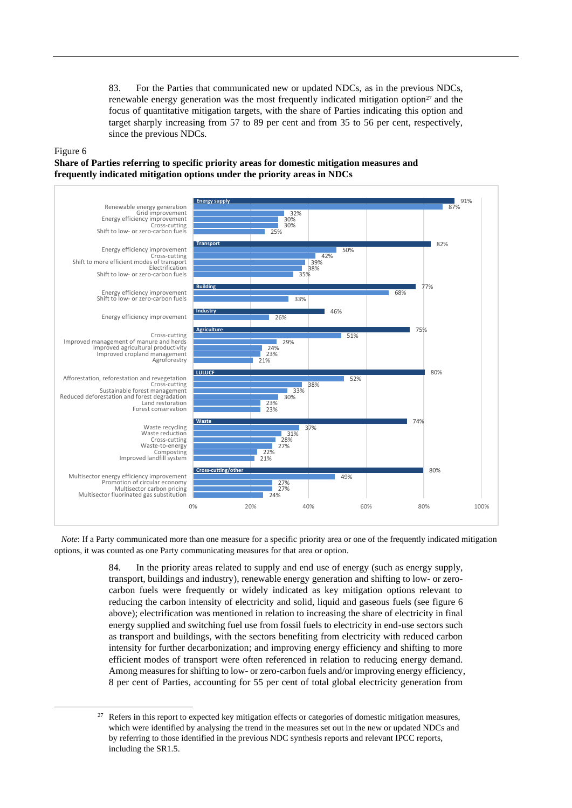83. For the Parties that communicated new or updated NDCs, as in the previous NDCs, renewable energy generation was the most frequently indicated mitigation option $27$  and the focus of quantitative mitigation targets, with the share of Parties indicating this option and target sharply increasing from 57 to 89 per cent and from 35 to 56 per cent, respectively, since the previous NDCs.

#### Figure 6

**Share of Parties referring to specific priority areas for domestic mitigation measures and frequently indicated mitigation options under the priority areas in NDCs**



*Note*: If a Party communicated more than one measure for a specific priority area or one of the frequently indicated mitigation options, it was counted as one Party communicating measures for that area or option.

> 84. In the priority areas related to supply and end use of energy (such as energy supply, transport, buildings and industry), renewable energy generation and shifting to low- or zerocarbon fuels were frequently or widely indicated as key mitigation options relevant to reducing the carbon intensity of electricity and solid, liquid and gaseous fuels (see figure 6 above); electrification was mentioned in relation to increasing the share of electricity in final energy supplied and switching fuel use from fossil fuels to electricity in end-use sectors such as transport and buildings, with the sectors benefiting from electricity with reduced carbon intensity for further decarbonization; and improving energy efficiency and shifting to more efficient modes of transport were often referenced in relation to reducing energy demand. Among measures for shifting to low- or zero-carbon fuels and/or improving energy efficiency, 8 per cent of Parties, accounting for 55 per cent of total global electricity generation from

<sup>&</sup>lt;sup>27</sup> Refers in this report to expected key mitigation effects or categories of domestic mitigation measures, which were identified by analysing the trend in the measures set out in the new or updated NDCs and by referring to those identified in the previous NDC synthesis reports and relevant IPCC reports, including the SR1.5.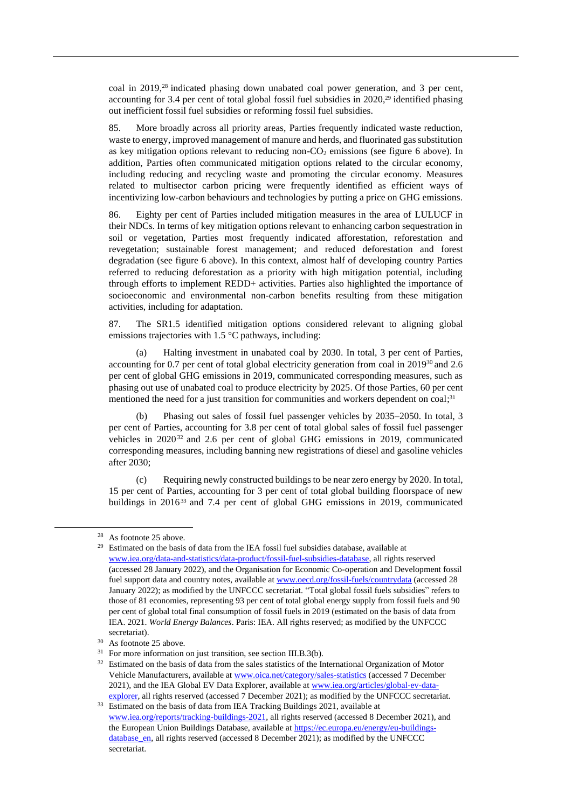coal in 2019, <sup>28</sup> indicated phasing down unabated coal power generation, and 3 per cent, accounting for 3.4 per cent of total global fossil fuel subsidies in 2020,<sup>29</sup> identified phasing out inefficient fossil fuel subsidies or reforming fossil fuel subsidies.

85. More broadly across all priority areas, Parties frequently indicated waste reduction, waste to energy, improved management of manure and herds, and fluorinated gas substitution as key mitigation options relevant to reducing non- $CO<sub>2</sub>$  emissions (see figure 6 above). In addition, Parties often communicated mitigation options related to the circular economy, including reducing and recycling waste and promoting the circular economy. Measures related to multisector carbon pricing were frequently identified as efficient ways of incentivizing low-carbon behaviours and technologies by putting a price on GHG emissions.

86. Eighty per cent of Parties included mitigation measures in the area of LULUCF in their NDCs. In terms of key mitigation options relevant to enhancing carbon sequestration in soil or vegetation, Parties most frequently indicated afforestation, reforestation and revegetation; sustainable forest management; and reduced deforestation and forest degradation (see figure 6 above). In this context, almost half of developing country Parties referred to reducing deforestation as a priority with high mitigation potential, including through efforts to implement REDD+ activities. Parties also highlighted the importance of socioeconomic and environmental non-carbon benefits resulting from these mitigation activities, including for adaptation.

87. The SR1.5 identified mitigation options considered relevant to aligning global emissions trajectories with 1.5 °C pathways, including:

(a) Halting investment in unabated coal by 2030. In total, 3 per cent of Parties, accounting for 0.7 per cent of total global electricity generation from coal in  $2019^{30}$  and 2.6 per cent of global GHG emissions in 2019, communicated corresponding measures, such as phasing out use of unabated coal to produce electricity by 2025. Of those Parties, 60 per cent mentioned the need for a just transition for communities and workers dependent on coal;<sup>31</sup>

(b) Phasing out sales of fossil fuel passenger vehicles by 2035–2050. In total, 3 per cent of Parties, accounting for 3.8 per cent of total global sales of fossil fuel passenger vehicles in 2020<sup>32</sup> and 2.6 per cent of global GHG emissions in 2019, communicated corresponding measures, including banning new registrations of diesel and gasoline vehicles after 2030;

(c) Requiring newly constructed buildings to be near zero energy by 2020. In total, 15 per cent of Parties, accounting for 3 per cent of total global building floorspace of new buildings in 2016<sup>33</sup> and 7.4 per cent of global GHG emissions in 2019, communicated

<sup>28</sup> As footnote 25 above.

<sup>&</sup>lt;sup>29</sup> Estimated on the basis of data from the IEA fossil fuel subsidies database, available at [www.iea.org/data-and-statistics/data-product/fossil-fuel-subsidies-database,](https://www.iea.org/data-and-statistics/data-product/fossil-fuel-subsidies-database) all rights reserved (accessed 28 January 2022), and the Organisation for Economic Co-operation and Development fossil fuel support data and country notes, available at [www.oecd.org/fossil-fuels/countrydata](https://www.oecd.org/fossil-fuels/countrydata/) (accessed 28 January 2022); as modified by the UNFCCC secretariat. "Total global fossil fuels subsidies" refers to those of 81 economies, representing 93 per cent of total global energy supply from fossil fuels and 90 per cent of global total final consumption of fossil fuels in 2019 (estimated on the basis of data from IEA. 2021. *World Energy Balances*. Paris: IEA. All rights reserved; as modified by the UNFCCC secretariat).

<sup>30</sup> As footnote 25 above.

<sup>&</sup>lt;sup>31</sup> For more information on just transition, see section III.B.3(b).

<sup>&</sup>lt;sup>32</sup> Estimated on the basis of data from the sales statistics of the International Organization of Motor Vehicle Manufacturers, available at [www.oica.net/category/sales-statistics](https://www.oica.net/category/sales-statistics/) (accessed 7 December 2021), and the IEA Global EV Data Explorer, available a[t www.iea.org/articles/global-ev-data](https://www.iea.org/articles/global-ev-data-explorer)[explorer,](https://www.iea.org/articles/global-ev-data-explorer) all rights reserved (accessed 7 December 2021); as modified by the UNFCCC secretariat.

<sup>&</sup>lt;sup>33</sup> Estimated on the basis of data from IEA Tracking Buildings 2021, available at [www.iea.org/reports/tracking-buildings-2021,](https://www.iea.org/reports/tracking-buildings-2021) all rights reserved (accessed 8 December 2021), and the European Union Buildings Database, available at [https://ec.europa.eu/energy/eu-buildings](https://ec.europa.eu/energy/eu-buildings-database_en)[database\\_en,](https://ec.europa.eu/energy/eu-buildings-database_en) all rights reserved (accessed 8 December 2021); as modified by the UNFCCC secretariat.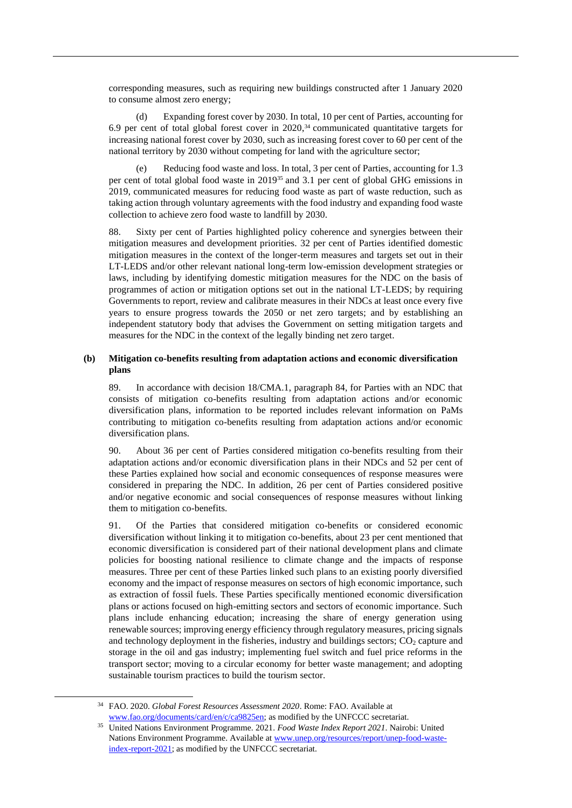corresponding measures, such as requiring new buildings constructed after 1 January 2020 to consume almost zero energy;

(d) Expanding forest cover by 2030. In total, 10 per cent of Parties, accounting for 6.9 per cent of total global forest cover in 2020, <sup>34</sup> communicated quantitative targets for increasing national forest cover by 2030, such as increasing forest cover to 60 per cent of the national territory by 2030 without competing for land with the agriculture sector;

Reducing food waste and loss. In total, 3 per cent of Parties, accounting for 1.3 per cent of total global food waste in 2019<sup>35</sup> and 3.1 per cent of global GHG emissions in 2019, communicated measures for reducing food waste as part of waste reduction, such as taking action through voluntary agreements with the food industry and expanding food waste collection to achieve zero food waste to landfill by 2030.

88. Sixty per cent of Parties highlighted policy coherence and synergies between their mitigation measures and development priorities. 32 per cent of Parties identified domestic mitigation measures in the context of the longer-term measures and targets set out in their LT-LEDS and/or other relevant national long-term low-emission development strategies or laws, including by identifying domestic mitigation measures for the NDC on the basis of programmes of action or mitigation options set out in the national LT-LEDS; by requiring Governments to report, review and calibrate measures in their NDCs at least once every five years to ensure progress towards the 2050 or net zero targets; and by establishing an independent statutory body that advises the Government on setting mitigation targets and measures for the NDC in the context of the legally binding net zero target.

### **(b) Mitigation co-benefits resulting from adaptation actions and economic diversification plans**

89. In accordance with decision 18/CMA.1, paragraph 84, for Parties with an NDC that consists of mitigation co-benefits resulting from adaptation actions and/or economic diversification plans, information to be reported includes relevant information on PaMs contributing to mitigation co-benefits resulting from adaptation actions and/or economic diversification plans.

90. About 36 per cent of Parties considered mitigation co-benefits resulting from their adaptation actions and/or economic diversification plans in their NDCs and 52 per cent of these Parties explained how social and economic consequences of response measures were considered in preparing the NDC. In addition, 26 per cent of Parties considered positive and/or negative economic and social consequences of response measures without linking them to mitigation co-benefits.

91. Of the Parties that considered mitigation co-benefits or considered economic diversification without linking it to mitigation co-benefits, about 23 per cent mentioned that economic diversification is considered part of their national development plans and climate policies for boosting national resilience to climate change and the impacts of response measures. Three per cent of these Parties linked such plans to an existing poorly diversified economy and the impact of response measures on sectors of high economic importance, such as extraction of fossil fuels. These Parties specifically mentioned economic diversification plans or actions focused on high-emitting sectors and sectors of economic importance. Such plans include enhancing education; increasing the share of energy generation using renewable sources; improving energy efficiency through regulatory measures, pricing signals and technology deployment in the fisheries, industry and buildings sectors;  $CO<sub>2</sub>$  capture and storage in the oil and gas industry; implementing fuel switch and fuel price reforms in the transport sector; moving to a circular economy for better waste management; and adopting sustainable tourism practices to build the tourism sector.

<sup>34</sup> FAO. 2020. *Global Forest Resources Assessment 2020*. Rome: FAO. Available at [www.fao.org/documents/card/en/c/ca9825en;](https://www.fao.org/documents/card/en/c/ca9825en) as modified by the UNFCCC secretariat.

<sup>35</sup> United Nations Environment Programme. 2021. *Food Waste Index Report 2021*. Nairobi: United Nations Environment Programme. Available a[t www.unep.org/resources/report/unep-food-waste](https://www.unep.org/resources/report/unep-food-waste-index-report-2021)[index-report-2021;](https://www.unep.org/resources/report/unep-food-waste-index-report-2021) as modified by the UNFCCC secretariat.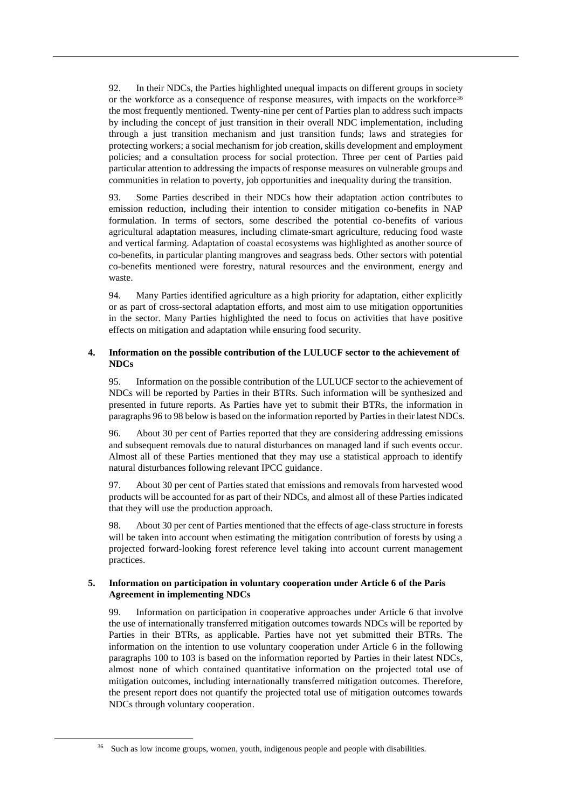92. In their NDCs, the Parties highlighted unequal impacts on different groups in society or the workforce as a consequence of response measures, with impacts on the workforce<sup>36</sup> the most frequently mentioned. Twenty-nine per cent of Parties plan to address such impacts by including the concept of just transition in their overall NDC implementation, including through a just transition mechanism and just transition funds; laws and strategies for protecting workers; a social mechanism for job creation, skills development and employment policies; and a consultation process for social protection. Three per cent of Parties paid particular attention to addressing the impacts of response measures on vulnerable groups and communities in relation to poverty, job opportunities and inequality during the transition.

93. Some Parties described in their NDCs how their adaptation action contributes to emission reduction, including their intention to consider mitigation co-benefits in NAP formulation. In terms of sectors, some described the potential co-benefits of various agricultural adaptation measures, including climate-smart agriculture, reducing food waste and vertical farming. Adaptation of coastal ecosystems was highlighted as another source of co-benefits, in particular planting mangroves and seagrass beds. Other sectors with potential co-benefits mentioned were forestry, natural resources and the environment, energy and waste.

94. Many Parties identified agriculture as a high priority for adaptation, either explicitly or as part of cross-sectoral adaptation efforts, and most aim to use mitigation opportunities in the sector. Many Parties highlighted the need to focus on activities that have positive effects on mitigation and adaptation while ensuring food security.

## **4. Information on the possible contribution of the LULUCF sector to the achievement of NDCs**

95. Information on the possible contribution of the LULUCF sector to the achievement of NDCs will be reported by Parties in their BTRs. Such information will be synthesized and presented in future reports. As Parties have yet to submit their BTRs, the information in paragraphs 96 to 98 below is based on the information reported by Parties in their latest NDCs.

96. About 30 per cent of Parties reported that they are considering addressing emissions and subsequent removals due to natural disturbances on managed land if such events occur. Almost all of these Parties mentioned that they may use a statistical approach to identify natural disturbances following relevant IPCC guidance.

97. About 30 per cent of Parties stated that emissions and removals from harvested wood products will be accounted for as part of their NDCs, and almost all of these Parties indicated that they will use the production approach.

98. About 30 per cent of Parties mentioned that the effects of age-class structure in forests will be taken into account when estimating the mitigation contribution of forests by using a projected forward-looking forest reference level taking into account current management practices.

## **5. Information on participation in voluntary cooperation under Article 6 of the Paris Agreement in implementing NDCs**

99. Information on participation in cooperative approaches under Article 6 that involve the use of internationally transferred mitigation outcomes towards NDCs will be reported by Parties in their BTRs, as applicable. Parties have not yet submitted their BTRs. The information on the intention to use voluntary cooperation under Article 6 in the following paragraphs 100 to 103 is based on the information reported by Parties in their latest NDCs, almost none of which contained quantitative information on the projected total use of mitigation outcomes, including internationally transferred mitigation outcomes. Therefore, the present report does not quantify the projected total use of mitigation outcomes towards NDCs through voluntary cooperation.

<sup>&</sup>lt;sup>36</sup> Such as low income groups, women, youth, indigenous people and people with disabilities.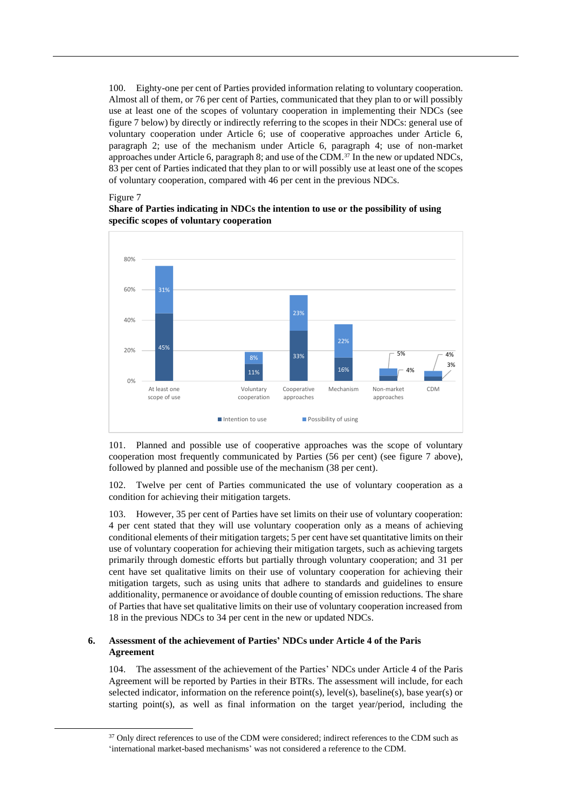100. Eighty-one per cent of Parties provided information relating to voluntary cooperation. Almost all of them, or 76 per cent of Parties, communicated that they plan to or will possibly use at least one of the scopes of voluntary cooperation in implementing their NDCs (see figure 7 below) by directly or indirectly referring to the scopes in their NDCs: general use of voluntary cooperation under Article 6; use of cooperative approaches under Article 6, paragraph 2; use of the mechanism under Article 6, paragraph 4; use of non-market approaches under Article 6, paragraph 8; and use of the CDM.<sup>37</sup> In the new or updated NDCs, 83 per cent of Parties indicated that they plan to or will possibly use at least one of the scopes of voluntary cooperation, compared with 46 per cent in the previous NDCs.

#### Figure 7

**Share of Parties indicating in NDCs the intention to use or the possibility of using specific scopes of voluntary cooperation**



101. Planned and possible use of cooperative approaches was the scope of voluntary cooperation most frequently communicated by Parties (56 per cent) (see figure 7 above), followed by planned and possible use of the mechanism (38 per cent).

102. Twelve per cent of Parties communicated the use of voluntary cooperation as a condition for achieving their mitigation targets.

103. However, 35 per cent of Parties have set limits on their use of voluntary cooperation: 4 per cent stated that they will use voluntary cooperation only as a means of achieving conditional elements of their mitigation targets; 5 per cent have set quantitative limits on their use of voluntary cooperation for achieving their mitigation targets, such as achieving targets primarily through domestic efforts but partially through voluntary cooperation; and 31 per cent have set qualitative limits on their use of voluntary cooperation for achieving their mitigation targets, such as using units that adhere to standards and guidelines to ensure additionality, permanence or avoidance of double counting of emission reductions. The share of Parties that have set qualitative limits on their use of voluntary cooperation increased from 18 in the previous NDCs to 34 per cent in the new or updated NDCs.

## **6. Assessment of the achievement of Parties' NDCs under Article 4 of the Paris Agreement**

104. The assessment of the achievement of the Parties' NDCs under Article 4 of the Paris Agreement will be reported by Parties in their BTRs. The assessment will include, for each selected indicator, information on the reference point(s), level(s), baseline(s), base year(s) or starting point(s), as well as final information on the target year/period, including the

<sup>&</sup>lt;sup>37</sup> Only direct references to use of the CDM were considered; indirect references to the CDM such as 'international market-based mechanisms' was not considered a reference to the CDM.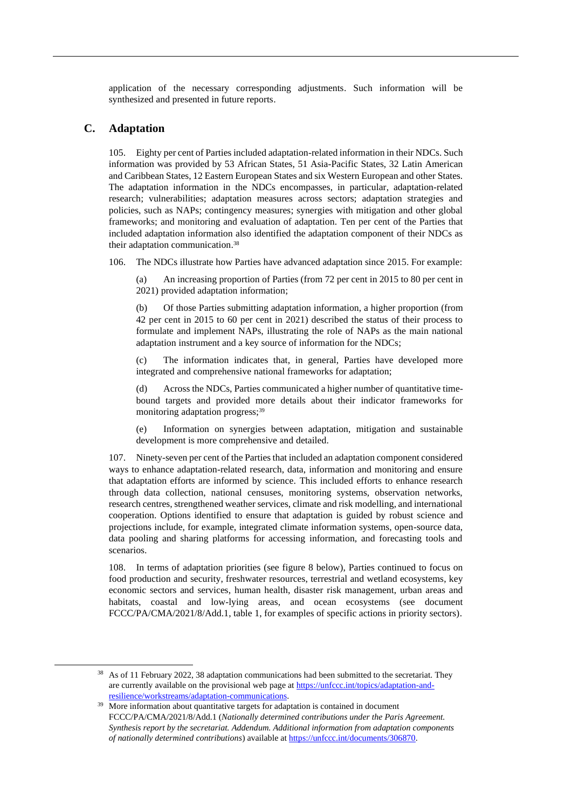application of the necessary corresponding adjustments. Such information will be synthesized and presented in future reports.

## **C. Adaptation**

105. Eighty per cent of Parties included adaptation-related information in their NDCs. Such information was provided by 53 African States, 51 Asia-Pacific States, 32 Latin American and Caribbean States, 12 Eastern European States and six Western European and other States. The adaptation information in the NDCs encompasses, in particular, adaptation-related research; vulnerabilities; adaptation measures across sectors; adaptation strategies and policies, such as NAPs; contingency measures; synergies with mitigation and other global frameworks; and monitoring and evaluation of adaptation. Ten per cent of the Parties that included adaptation information also identified the adaptation component of their NDCs as their adaptation communication. 38

106. The NDCs illustrate how Parties have advanced adaptation since 2015. For example:

An increasing proportion of Parties (from 72 per cent in 2015 to 80 per cent in 2021) provided adaptation information;

(b) Of those Parties submitting adaptation information, a higher proportion (from 42 per cent in 2015 to 60 per cent in 2021) described the status of their process to formulate and implement NAPs, illustrating the role of NAPs as the main national adaptation instrument and a key source of information for the NDCs;

(c) The information indicates that, in general, Parties have developed more integrated and comprehensive national frameworks for adaptation;

(d) Across the NDCs, Parties communicated a higher number of quantitative timebound targets and provided more details about their indicator frameworks for monitoring adaptation progress; 39

(e) Information on synergies between adaptation, mitigation and sustainable development is more comprehensive and detailed.

107. Ninety-seven per cent of the Parties that included an adaptation component considered ways to enhance adaptation-related research, data, information and monitoring and ensure that adaptation efforts are informed by science. This included efforts to enhance research through data collection, national censuses, monitoring systems, observation networks, research centres, strengthened weather services, climate and risk modelling, and international cooperation. Options identified to ensure that adaptation is guided by robust science and projections include, for example, integrated climate information systems, open-source data, data pooling and sharing platforms for accessing information, and forecasting tools and scenarios.

108. In terms of adaptation priorities (see figure 8 below), Parties continued to focus on food production and security, freshwater resources, terrestrial and wetland ecosystems, key economic sectors and services, human health, disaster risk management, urban areas and habitats, coastal and low-lying areas, and ocean ecosystems (see document FCCC/PA/CMA/2021/8/Add.1, table 1, for examples of specific actions in priority sectors).

<sup>&</sup>lt;sup>38</sup> As of 11 February 2022, 38 adaptation communications had been submitted to the secretariat. They are currently available on the provisional web page at [https://unfccc.int/topics/adaptation-and](https://unfccc.int/topics/adaptation-and-resilience/workstreams/adaptation-communications)[resilience/workstreams/adaptation-communications.](https://unfccc.int/topics/adaptation-and-resilience/workstreams/adaptation-communications)

<sup>&</sup>lt;sup>39</sup> More information about quantitative targets for adaptation is contained in document FCCC/PA/CMA/2021/8/Add.1 (*Nationally determined contributions under the Paris Agreement. Synthesis report by the secretariat. Addendum. Additional information from adaptation components of nationally determined contributions*) available at [https://unfccc.int/documents/306870.](https://unfccc.int/documents/306870)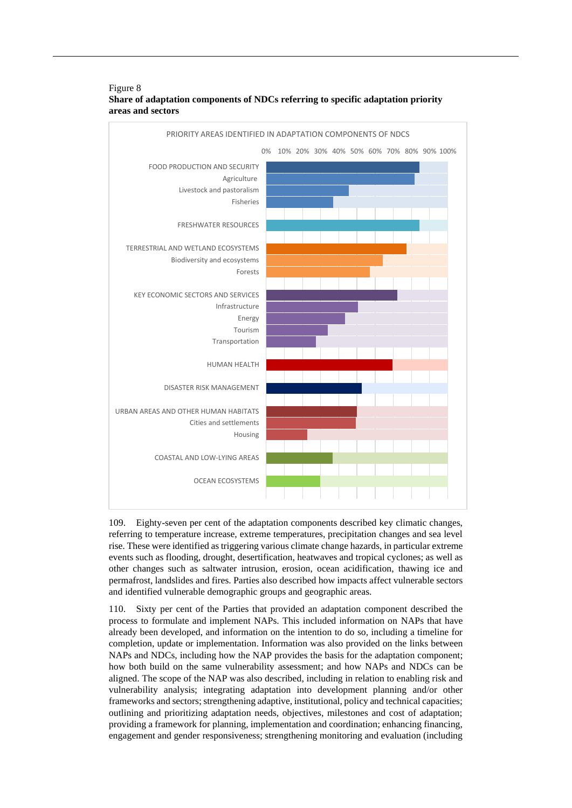

## Figure 8 **Share of adaptation components of NDCs referring to specific adaptation priority areas and sectors**

109. Eighty-seven per cent of the adaptation components described key climatic changes, referring to temperature increase, extreme temperatures, precipitation changes and sea level rise. These were identified as triggering various climate change hazards, in particular extreme events such as flooding, drought, desertification, heatwaves and tropical cyclones; as well as other changes such as saltwater intrusion, erosion, ocean acidification, thawing ice and permafrost, landslides and fires. Parties also described how impacts affect vulnerable sectors and identified vulnerable demographic groups and geographic areas.

110. Sixty per cent of the Parties that provided an adaptation component described the process to formulate and implement NAPs. This included information on NAPs that have already been developed, and information on the intention to do so, including a timeline for completion, update or implementation. Information was also provided on the links between NAPs and NDCs, including how the NAP provides the basis for the adaptation component; how both build on the same vulnerability assessment; and how NAPs and NDCs can be aligned. The scope of the NAP was also described, including in relation to enabling risk and vulnerability analysis; integrating adaptation into development planning and/or other frameworks and sectors; strengthening adaptive, institutional, policy and technical capacities; outlining and prioritizing adaptation needs, objectives, milestones and cost of adaptation; providing a framework for planning, implementation and coordination; enhancing financing, engagement and gender responsiveness; strengthening monitoring and evaluation (including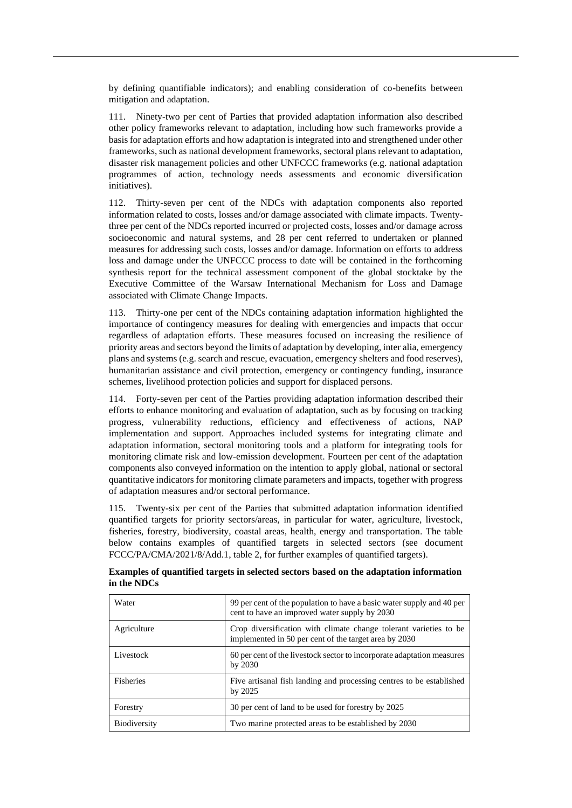by defining quantifiable indicators); and enabling consideration of co-benefits between mitigation and adaptation.

111. Ninety-two per cent of Parties that provided adaptation information also described other policy frameworks relevant to adaptation, including how such frameworks provide a basis for adaptation efforts and how adaptation is integrated into and strengthened under other frameworks, such as national development frameworks, sectoral plans relevant to adaptation, disaster risk management policies and other UNFCCC frameworks (e.g. national adaptation programmes of action, technology needs assessments and economic diversification initiatives).

112. Thirty-seven per cent of the NDCs with adaptation components also reported information related to costs, losses and/or damage associated with climate impacts. Twentythree per cent of the NDCs reported incurred or projected costs, losses and/or damage across socioeconomic and natural systems, and 28 per cent referred to undertaken or planned measures for addressing such costs, losses and/or damage. Information on efforts to address loss and damage under the UNFCCC process to date will be contained in the forthcoming synthesis report for the technical assessment component of the global stocktake by the Executive Committee of the Warsaw International Mechanism for Loss and Damage associated with Climate Change Impacts.

113. Thirty-one per cent of the NDCs containing adaptation information highlighted the importance of contingency measures for dealing with emergencies and impacts that occur regardless of adaptation efforts. These measures focused on increasing the resilience of priority areas and sectors beyond the limits of adaptation by developing, inter alia, emergency plans and systems (e.g. search and rescue, evacuation, emergency shelters and food reserves), humanitarian assistance and civil protection, emergency or contingency funding, insurance schemes, livelihood protection policies and support for displaced persons.

114. Forty-seven per cent of the Parties providing adaptation information described their efforts to enhance monitoring and evaluation of adaptation, such as by focusing on tracking progress, vulnerability reductions, efficiency and effectiveness of actions, NAP implementation and support. Approaches included systems for integrating climate and adaptation information, sectoral monitoring tools and a platform for integrating tools for monitoring climate risk and low-emission development. Fourteen per cent of the adaptation components also conveyed information on the intention to apply global, national or sectoral quantitative indicators for monitoring climate parameters and impacts, together with progress of adaptation measures and/or sectoral performance.

115. Twenty-six per cent of the Parties that submitted adaptation information identified quantified targets for priority sectors/areas, in particular for water, agriculture, livestock, fisheries, forestry, biodiversity, coastal areas, health, energy and transportation. The table below contains examples of quantified targets in selected sectors (see document FCCC/PA/CMA/2021/8/Add.1, table 2, for further examples of quantified targets).

| in the NDCs | Examples of quantified targets in selected sectors based on the adaptation information                                                           |
|-------------|--------------------------------------------------------------------------------------------------------------------------------------------------|
| Water       | 99 per cent of the population to have a basic water supply and 40 per<br>$\frac{1}{2}$ and to be expected the second control control of the 0020 |

| <i>w</i> ater | 99 per cent of the population to have a basic water supply and 40 per<br>cent to have an improved water supply by 2030     |
|---------------|----------------------------------------------------------------------------------------------------------------------------|
| Agriculture   | Crop diversification with climate change tolerant varieties to be<br>implemented in 50 per cent of the target area by 2030 |
| Livestock     | 60 per cent of the livestock sector to incorporate adaptation measures<br>by 2030                                          |
| Fisheries     | Five artisanal fish landing and processing centres to be established<br>by 2025                                            |
| Forestry      | 30 per cent of land to be used for forestry by 2025                                                                        |
| Biodiversity  | Two marine protected areas to be established by 2030                                                                       |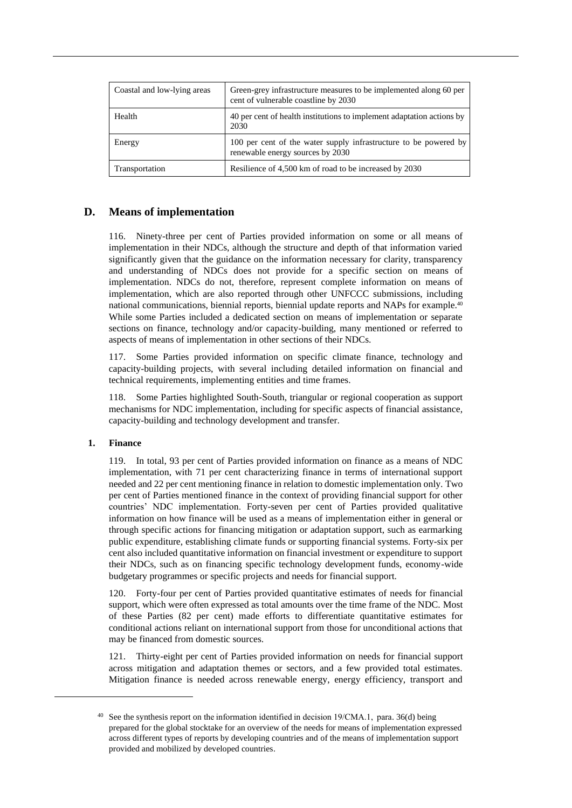| Coastal and low-lying areas | Green-grey infrastructure measures to be implemented along 60 per<br>cent of vulnerable coastline by 2030 |
|-----------------------------|-----------------------------------------------------------------------------------------------------------|
| Health                      | 40 per cent of health institutions to implement adaptation actions by<br>2030                             |
| Energy                      | 100 per cent of the water supply infrastructure to be powered by<br>renewable energy sources by 2030      |
| Transportation              | Resilience of 4,500 km of road to be increased by 2030                                                    |

## **D. Means of implementation**

116. Ninety-three per cent of Parties provided information on some or all means of implementation in their NDCs, although the structure and depth of that information varied significantly given that the guidance on the information necessary for clarity, transparency and understanding of NDCs does not provide for a specific section on means of implementation. NDCs do not, therefore, represent complete information on means of implementation, which are also reported through other UNFCCC submissions, including national communications, biennial reports, biennial update reports and NAPs for example.<sup>40</sup> While some Parties included a dedicated section on means of implementation or separate sections on finance, technology and/or capacity-building, many mentioned or referred to aspects of means of implementation in other sections of their NDCs.

117. Some Parties provided information on specific climate finance, technology and capacity-building projects, with several including detailed information on financial and technical requirements, implementing entities and time frames.

118. Some Parties highlighted South-South, triangular or regional cooperation as support mechanisms for NDC implementation, including for specific aspects of financial assistance, capacity-building and technology development and transfer.

### **1. Finance**

119. In total, 93 per cent of Parties provided information on finance as a means of NDC implementation, with 71 per cent characterizing finance in terms of international support needed and 22 per cent mentioning finance in relation to domestic implementation only. Two per cent of Parties mentioned finance in the context of providing financial support for other countries' NDC implementation. Forty-seven per cent of Parties provided qualitative information on how finance will be used as a means of implementation either in general or through specific actions for financing mitigation or adaptation support, such as earmarking public expenditure, establishing climate funds or supporting financial systems. Forty-six per cent also included quantitative information on financial investment or expenditure to support their NDCs, such as on financing specific technology development funds, economy-wide budgetary programmes or specific projects and needs for financial support.

120. Forty-four per cent of Parties provided quantitative estimates of needs for financial support, which were often expressed as total amounts over the time frame of the NDC. Most of these Parties (82 per cent) made efforts to differentiate quantitative estimates for conditional actions reliant on international support from those for unconditional actions that may be financed from domestic sources.

121. Thirty-eight per cent of Parties provided information on needs for financial support across mitigation and adaptation themes or sectors, and a few provided total estimates. Mitigation finance is needed across renewable energy, energy efficiency, transport and

<sup>&</sup>lt;sup>40</sup> See the synthesis report on the information identified in decision 19/CMA.1, para. 36(d) being prepared for the global stocktake for an overview of the needs for means of implementation expressed across different types of reports by developing countries and of the means of implementation support provided and mobilized by developed countries.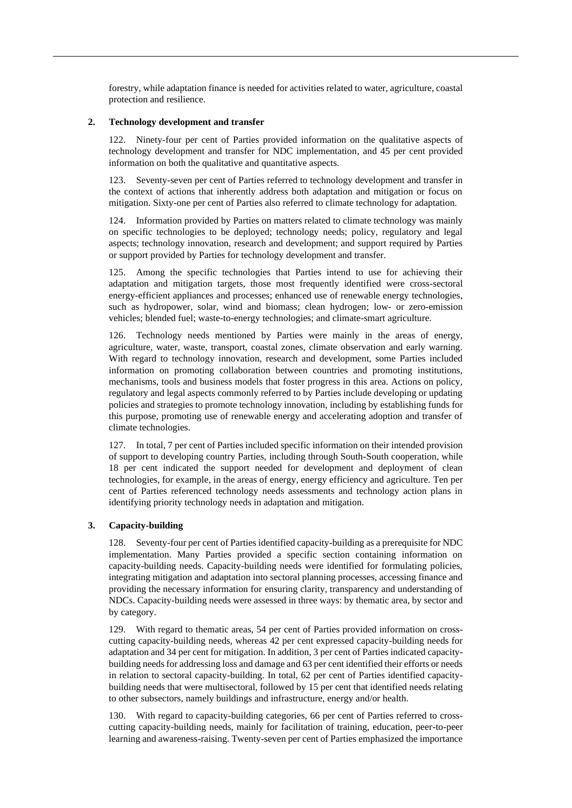forestry, while adaptation finance is needed for activities related to water, agriculture, coastal protection and resilience.

#### **2. Technology development and transfer**

122. Ninety-four per cent of Parties provided information on the qualitative aspects of technology development and transfer for NDC implementation, and 45 per cent provided information on both the qualitative and quantitative aspects.

123. Seventy-seven per cent of Parties referred to technology development and transfer in the context of actions that inherently address both adaptation and mitigation or focus on mitigation. Sixty-one per cent of Parties also referred to climate technology for adaptation.

124. Information provided by Parties on matters related to climate technology was mainly on specific technologies to be deployed; technology needs; policy, regulatory and legal aspects; technology innovation, research and development; and support required by Parties or support provided by Parties for technology development and transfer.

125. Among the specific technologies that Parties intend to use for achieving their adaptation and mitigation targets, those most frequently identified were cross-sectoral energy-efficient appliances and processes; enhanced use of renewable energy technologies, such as hydropower, solar, wind and biomass; clean hydrogen; low- or zero-emission vehicles; blended fuel; waste-to-energy technologies; and climate-smart agriculture.

126. Technology needs mentioned by Parties were mainly in the areas of energy, agriculture, water, waste, transport, coastal zones, climate observation and early warning. With regard to technology innovation, research and development, some Parties included information on promoting collaboration between countries and promoting institutions, mechanisms, tools and business models that foster progress in this area. Actions on policy, regulatory and legal aspects commonly referred to by Parties include developing or updating policies and strategies to promote technology innovation, including by establishing funds for this purpose, promoting use of renewable energy and accelerating adoption and transfer of climate technologies.

127. In total, 7 per cent of Parties included specific information on their intended provision of support to developing country Parties, including through South-South cooperation, while 18 per cent indicated the support needed for development and deployment of clean technologies, for example, in the areas of energy, energy efficiency and agriculture. Ten per cent of Parties referenced technology needs assessments and technology action plans in identifying priority technology needs in adaptation and mitigation.

### **3. Capacity-building**

128. Seventy-four per cent of Parties identified capacity-building as a prerequisite for NDC implementation. Many Parties provided a specific section containing information on capacity-building needs. Capacity-building needs were identified for formulating policies, integrating mitigation and adaptation into sectoral planning processes, accessing finance and providing the necessary information for ensuring clarity, transparency and understanding of NDCs. Capacity-building needs were assessed in three ways: by thematic area, by sector and by category.

129. With regard to thematic areas, 54 per cent of Parties provided information on crosscutting capacity-building needs, whereas 42 per cent expressed capacity-building needs for adaptation and 34 per cent for mitigation. In addition, 3 per cent of Parties indicated capacitybuilding needs for addressing loss and damage and 63 per cent identified their efforts or needs in relation to sectoral capacity-building. In total, 62 per cent of Parties identified capacitybuilding needs that were multisectoral, followed by 15 per cent that identified needs relating to other subsectors, namely buildings and infrastructure, energy and/or health.

130. With regard to capacity-building categories, 66 per cent of Parties referred to crosscutting capacity-building needs, mainly for facilitation of training, education, peer-to-peer learning and awareness-raising. Twenty-seven per cent of Parties emphasized the importance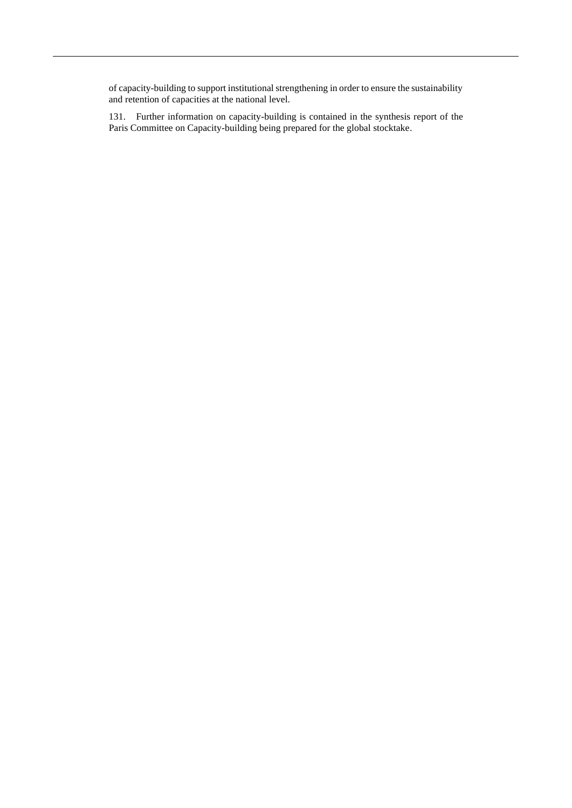of capacity-building to support institutional strengthening in order to ensure the sustainability and retention of capacities at the national level.

131. Further information on capacity-building is contained in the synthesis report of the Paris Committee on Capacity-building being prepared for the global stocktake.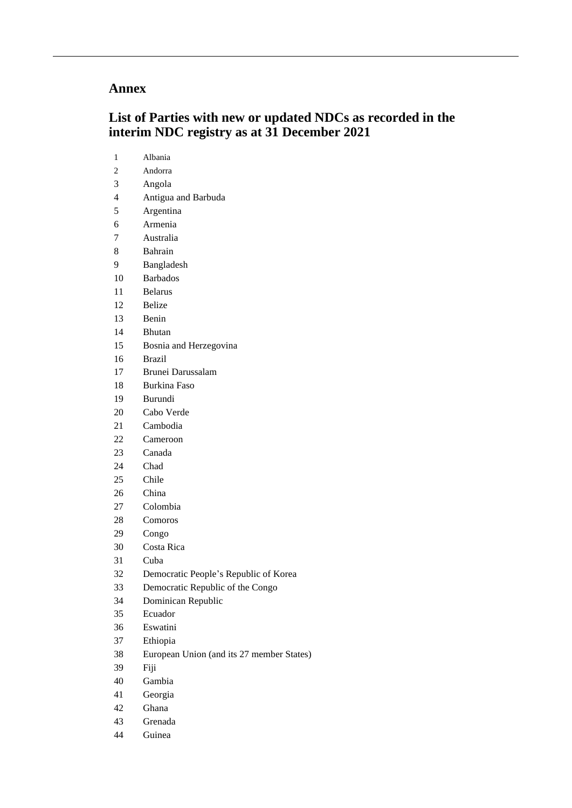## **Annex**

## **List of Parties with new or updated NDCs as recorded in the interim NDC registry as at 31 December 2021**

| 1  | Albania                                   |
|----|-------------------------------------------|
| 2  | Andorra                                   |
| 3  | Angola                                    |
| 4  | Antigua and Barbuda                       |
| 5  | Argentina                                 |
| 6  | Armenia                                   |
| 7  | Australia                                 |
| 8  | Bahrain                                   |
| 9  | Bangladesh                                |
| 10 | <b>Barbados</b>                           |
| 11 | <b>Belarus</b>                            |
| 12 | <b>Belize</b>                             |
| 13 | Benin                                     |
| 14 | <b>Bhutan</b>                             |
| 15 | Bosnia and Herzegovina                    |
| 16 | <b>Brazil</b>                             |
| 17 | Brunei Darussalam                         |
| 18 | <b>Burkina Faso</b>                       |
| 19 | Burundi                                   |
| 20 | Cabo Verde                                |
| 21 | Cambodia                                  |
| 22 | Cameroon                                  |
| 23 | Canada                                    |
| 24 | Chad                                      |
| 25 | Chile                                     |
| 26 | China                                     |
| 27 | Colombia                                  |
| 28 | Comoros                                   |
| 29 | Congo                                     |
| 30 | Costa Rica                                |
| 31 | Cuba                                      |
| 32 | Democratic People's Republic of Korea     |
| 33 | Democratic Republic of the Congo          |
| 34 | Dominican Republic                        |
| 35 | Ecuador                                   |
| 36 | Eswatini                                  |
| 37 | Ethiopia                                  |
| 38 | European Union (and its 27 member States) |
| 39 | Fiji                                      |
| 40 | Gambia                                    |
| 41 | Georgia                                   |
| 42 | Ghana                                     |
| 43 | Grenada                                   |
| 44 | Guinea                                    |
|    |                                           |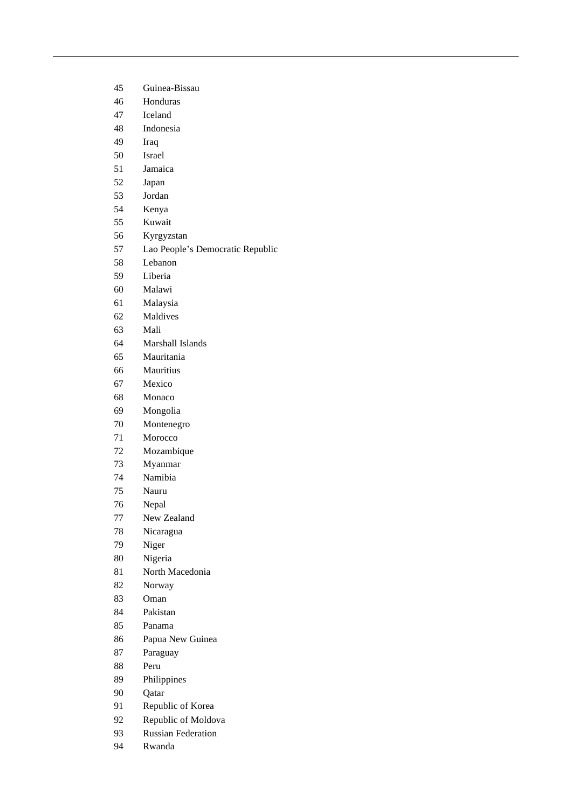| 45 | Guinea-Bissau                    |
|----|----------------------------------|
| 46 | Honduras                         |
| 47 | Iceland                          |
| 48 | Indonesia                        |
| 49 | Iraq                             |
| 50 | <b>Israel</b>                    |
| 51 | Jamaica                          |
| 52 | Japan                            |
| 53 | Jordan                           |
| 54 | Kenya                            |
| 55 | Kuwait                           |
| 56 | Kyrgyzstan                       |
| 57 | Lao People's Democratic Republic |
| 58 | Lebanon                          |
| 59 | Liberia                          |
| 60 | Malawi                           |
| 61 | Malaysia                         |
| 62 | Maldives                         |
| 63 | Mali                             |
| 64 | Marshall Islands                 |
| 65 | Mauritania                       |
| 66 | Mauritius                        |
| 67 | Mexico                           |
| 68 | Monaco                           |
| 69 | Mongolia                         |
| 70 | Montenegro                       |
| 71 | Morocco                          |
| 72 |                                  |
| 73 | Mozambique                       |
| 74 | Myanmar<br>Namibia               |
| 75 | Nauru                            |
| 76 |                                  |
|    | Nepal<br>New Zealand             |
| 77 |                                  |
| 78 | Nicaragua                        |
| 79 | Niger                            |
| 80 | Nigeria                          |
| 81 | North Macedonia                  |
| 82 | Norway                           |
| 83 | Oman                             |
| 84 | Pakistan                         |
| 85 | Panama                           |
| 86 | Papua New Guinea                 |
| 87 | Paraguay                         |
| 88 | Peru                             |
| 89 | Philippines                      |
| 90 | Qatar                            |
| 91 | Republic of Korea                |
| 92 | Republic of Moldova              |
| 93 | <b>Russian Federation</b>        |
| 94 | Rwanda                           |